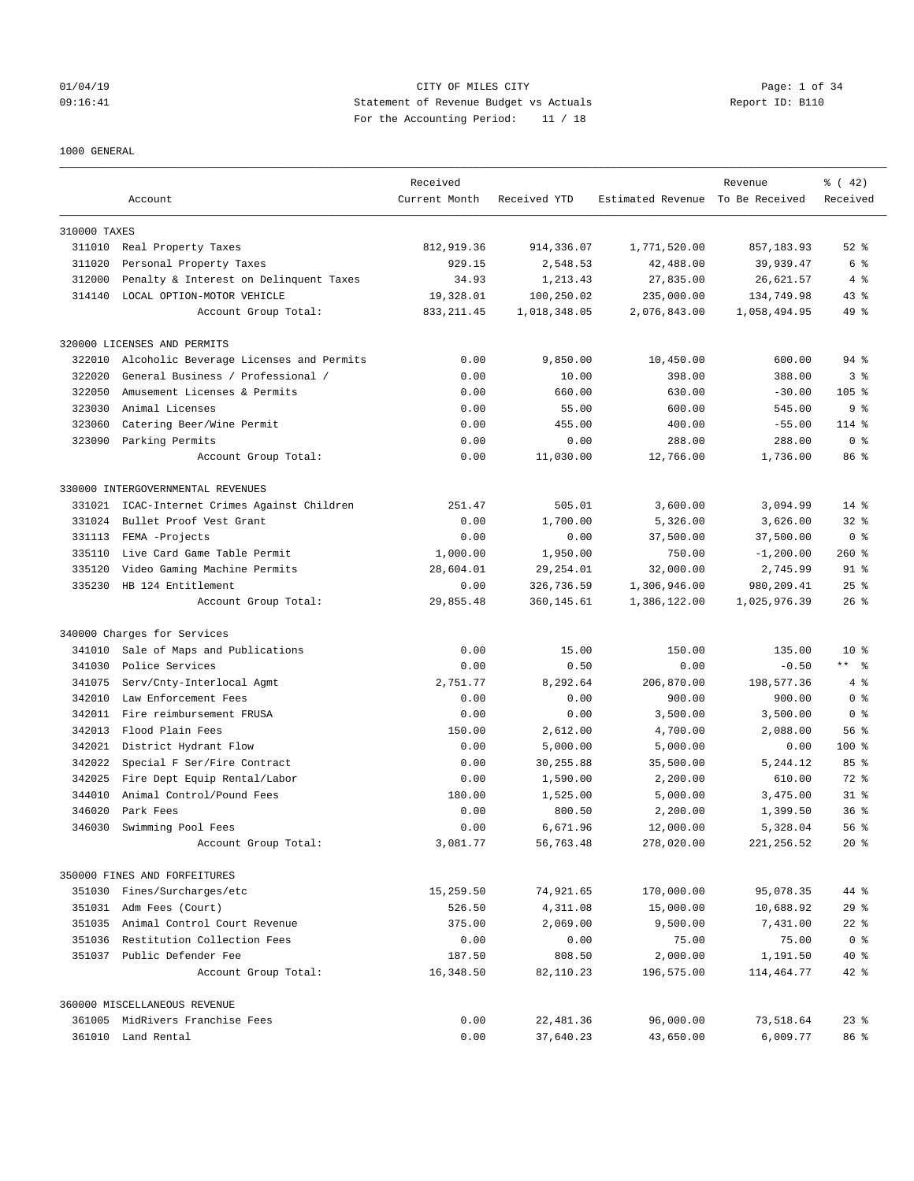## 01/04/19 CITY OF MILES CITY Page: 1 of 34 09:16:41 Statement of Revenue Budget vs Actuals Report ID: B110 For the Accounting Period: 11 / 18

#### 1000 GENERAL

|              | Account                                 | Received<br>Current Month | Received YTD | Estimated Revenue To Be Received | Revenue                | $\frac{1}{6}$ ( 42)<br>Received |
|--------------|-----------------------------------------|---------------------------|--------------|----------------------------------|------------------------|---------------------------------|
|              |                                         |                           |              |                                  |                        |                                 |
| 310000 TAXES |                                         |                           |              |                                  |                        |                                 |
|              | 311010 Real Property Taxes              | 812,919.36                | 914, 336.07  | 1,771,520.00                     | 857,183.93             | $52$ $%$                        |
| 311020       | Personal Property Taxes                 | 929.15                    | 2,548.53     | 42,488.00                        | 39,939.47              | 6 %                             |
| 312000       | Penalty & Interest on Delinquent Taxes  | 34.93                     | 1,213.43     | 27,835.00                        | 26,621.57              | 4%                              |
| 314140       | LOCAL OPTION-MOTOR VEHICLE              | 19,328.01                 | 100,250.02   | 235,000.00                       | 134,749.98             | $43$ %                          |
|              | Account Group Total:                    | 833, 211.45               | 1,018,348.05 | 2,076,843.00                     | 1,058,494.95           | $49*$                           |
|              | 320000 LICENSES AND PERMITS             |                           |              |                                  |                        |                                 |
| 322010       | Alcoholic Beverage Licenses and Permits | 0.00                      | 9,850.00     | 10,450.00                        | 600.00                 | 94 %                            |
| 322020       | General Business / Professional /       | 0.00                      | 10.00        | 398.00                           | 388.00                 | 3 <sup>8</sup>                  |
| 322050       | Amusement Licenses & Permits            | 0.00                      | 660.00       | 630.00                           | $-30.00$               | $105$ %                         |
| 323030       | Animal Licenses                         | 0.00                      | 55.00        | 600.00                           | 545.00                 | 9 <sup>8</sup>                  |
| 323060       | Catering Beer/Wine Permit               | 0.00                      | 455.00       | 400.00                           | $-55.00$               | $114$ %                         |
| 323090       | Parking Permits                         | 0.00                      | 0.00         | 288.00                           | 288.00                 | 0 <sup>8</sup>                  |
|              | Account Group Total:                    | 0.00                      | 11,030.00    | 12,766.00                        | 1,736.00               | 86 %                            |
|              | 330000 INTERGOVERNMENTAL REVENUES       |                           |              |                                  |                        |                                 |
| 331021       | ICAC-Internet Crimes Against Children   | 251.47                    | 505.01       | 3,600.00                         | 3,094.99               | $14*$                           |
| 331024       | Bullet Proof Vest Grant                 | 0.00                      | 1,700.00     | 5,326.00                         | 3,626.00               | $32*$                           |
| 331113       | FEMA -Projects                          | 0.00                      | 0.00         | 37,500.00                        | 37,500.00              | 0 <sup>8</sup>                  |
| 335110       | Live Card Game Table Permit             | 1,000.00                  | 1,950.00     | 750.00                           | $-1, 200.00$           | 260%                            |
| 335120       | Video Gaming Machine Permits            | 28,604.01                 | 29, 254.01   | 32,000.00                        | 2,745.99               | 91 %                            |
|              | 335230 HB 124 Entitlement               | 0.00                      | 326,736.59   | 1,306,946.00                     | 980, 209.41            | $25$ $%$                        |
|              | Account Group Total:                    | 29,855.48                 | 360,145.61   | 1,386,122.00                     | 1,025,976.39           | $26$ %                          |
|              | 340000 Charges for Services             |                           |              |                                  |                        |                                 |
| 341010       | Sale of Maps and Publications           | 0.00                      | 15.00        | 150.00                           | 135.00                 | $10*$                           |
| 341030       | Police Services                         | 0.00                      | 0.50         | 0.00                             | $-0.50$                | $***$ $ -$                      |
| 341075       | Serv/Cnty-Interlocal Agmt               | 2,751.77                  | 8,292.64     | 206,870.00                       | 198,577.36             | 4%                              |
| 342010       | Law Enforcement Fees                    | 0.00                      | 0.00         | 900.00                           | 900.00                 | 0 <sup>8</sup>                  |
| 342011       | Fire reimbursement FRUSA                | 0.00                      | 0.00         | 3,500.00                         | 3,500.00               | 0 <sup>8</sup>                  |
| 342013       | Flood Plain Fees                        | 150.00                    | 2,612.00     | 4,700.00                         | 2,088.00               | 56%                             |
| 342021       | District Hydrant Flow                   | 0.00                      | 5,000.00     | 5,000.00                         | 0.00                   | $100$ %                         |
| 342022       | Special F Ser/Fire Contract             | 0.00                      | 30,255.88    | 35,500.00                        | 5,244.12               | 85%                             |
| 342025       | Fire Dept Equip Rental/Labor            | 0.00                      | 1,590.00     | 2,200.00                         | 610.00                 | 72 %                            |
| 344010       | Animal Control/Pound Fees               | 180.00                    | 1,525.00     | 5,000.00                         | 3,475.00               | $31$ $%$                        |
| 346020       | Park Fees                               | 0.00                      | 800.50       | 2,200.00                         | 1,399.50               | 36 <sup>8</sup>                 |
| 346030       | Swimming Pool Fees                      | 0.00                      | 6,671.96     | 12,000.00                        | 5,328.04               | 56%                             |
|              | Account Group Total:                    | 3,081.77                  | 56,763.48    | 278,020.00                       | 221, 256.52            | $20*$                           |
|              | 350000 FINES AND FORFEITURES            |                           |              |                                  |                        |                                 |
|              | 351030 Fines/Surcharges/etc             | 15,259.50                 | 74,921.65    | 170,000.00                       | 95,078.35              | 44 %                            |
|              | 351031 Adm Fees (Court)                 | 526.50                    | 4,311.08     | 15,000.00                        | 10,688.92              | 29%                             |
| 351035       | Animal Control Court Revenue            | 375.00                    | 2,069.00     | 9,500.00                         | 7,431.00               | $22$ $%$                        |
|              | 351036 Restitution Collection Fees      | 0.00                      | 0.00         | 75.00                            | 75.00                  | 0 <sup>8</sup>                  |
|              | 351037 Public Defender Fee              | 187.50                    | 808.50       |                                  |                        | $40*$                           |
|              | Account Group Total:                    | 16,348.50                 | 82,110.23    | 2,000.00<br>196,575.00           | 1,191.50<br>114,464.77 | $42$ %                          |
|              | 360000 MISCELLANEOUS REVENUE            |                           |              |                                  |                        |                                 |
|              | 361005 MidRivers Franchise Fees         | 0.00                      | 22,481.36    | 96,000.00                        | 73,518.64              | $23$ $%$                        |
|              | 361010 Land Rental                      | 0.00                      | 37,640.23    | 43,650.00                        | 6,009.77               | 86 %                            |
|              |                                         |                           |              |                                  |                        |                                 |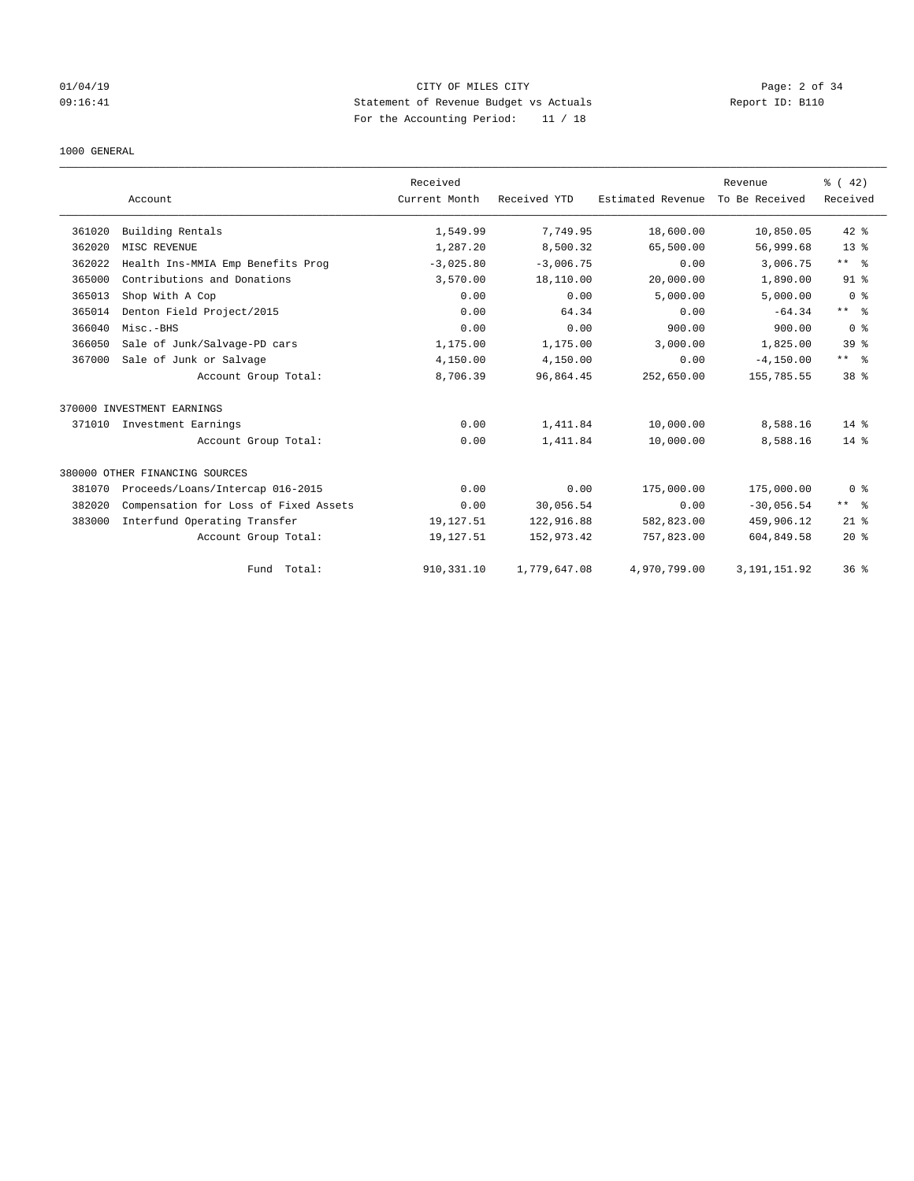## 01/04/19 CITY OF MILES CITY Page: 2 of 34 09:16:41 Statement of Revenue Budget vs Actuals Report ID: B110 For the Accounting Period: 11 / 18

#### 1000 GENERAL

|        |                                       | Received      |              |                   | Revenue        | % (42)          |
|--------|---------------------------------------|---------------|--------------|-------------------|----------------|-----------------|
|        | Account                               | Current Month | Received YTD | Estimated Revenue | To Be Received | Received        |
| 361020 | Building Rentals                      | 1,549.99      | 7.749.95     | 18,600.00         | 10,850.05      | $42*$           |
| 362020 | MISC REVENUE                          | 1,287.20      | 8,500.32     | 65,500.00         | 56,999.68      | 13 <sup>8</sup> |
| 362022 | Health Ins-MMIA Emp Benefits Prog     | $-3.025.80$   | $-3.006.75$  | 0.00              | 3,006.75       | $***$ $ -$      |
| 365000 | Contributions and Donations           | 3,570.00      | 18,110.00    | 20,000.00         | 1,890.00       | $91$ %          |
| 365013 | Shop With A Cop                       | 0.00          | 0.00         | 5,000.00          | 5,000.00       | 0 <sup>8</sup>  |
| 365014 | Denton Field Project/2015             | 0.00          | 64.34        | 0.00              | $-64.34$       | $***$ $%$       |
| 366040 | Misc.-BHS                             | 0.00          | 0.00         | 900.00            | 900.00         | 0 <sup>8</sup>  |
| 366050 | Sale of Junk/Salvage-PD cars          | 1,175.00      | 1,175.00     | 3,000.00          | 1,825.00       | 39 <sup>8</sup> |
| 367000 | Sale of Junk or Salvage               | 4,150.00      | 4,150.00     | 0.00              | $-4, 150.00$   | ** %            |
|        | Account Group Total:                  | 8,706.39      | 96,864.45    | 252,650.00        | 155,785.55     | 38 <sup>8</sup> |
|        | 370000 INVESTMENT EARNINGS            |               |              |                   |                |                 |
|        | 371010 Investment Earnings            | 0.00          | 1,411.84     | 10,000.00         | 8,588.16       | $14*$           |
|        | Account Group Total:                  | 0.00          | 1,411.84     | 10,000.00         | 8,588.16       | 14 %            |
|        | 380000 OTHER FINANCING SOURCES        |               |              |                   |                |                 |
| 381070 | Proceeds/Loans/Intercap 016-2015      | 0.00          | 0.00         | 175,000.00        | 175,000.00     | 0 <sup>8</sup>  |
| 382020 | Compensation for Loss of Fixed Assets | 0.00          | 30,056.54    | 0.00              | $-30,056.54$   | $***$ $ -$      |
| 383000 | Interfund Operating Transfer          | 19,127.51     | 122,916.88   | 582,823.00        | 459,906.12     | $21*$           |
|        | Account Group Total:                  | 19,127.51     | 152,973.42   | 757,823.00        | 604,849.58     | $20*$           |
|        | Fund Total:                           | 910, 331.10   | 1,779,647.08 | 4,970,799.00      | 3, 191, 151.92 | 36%             |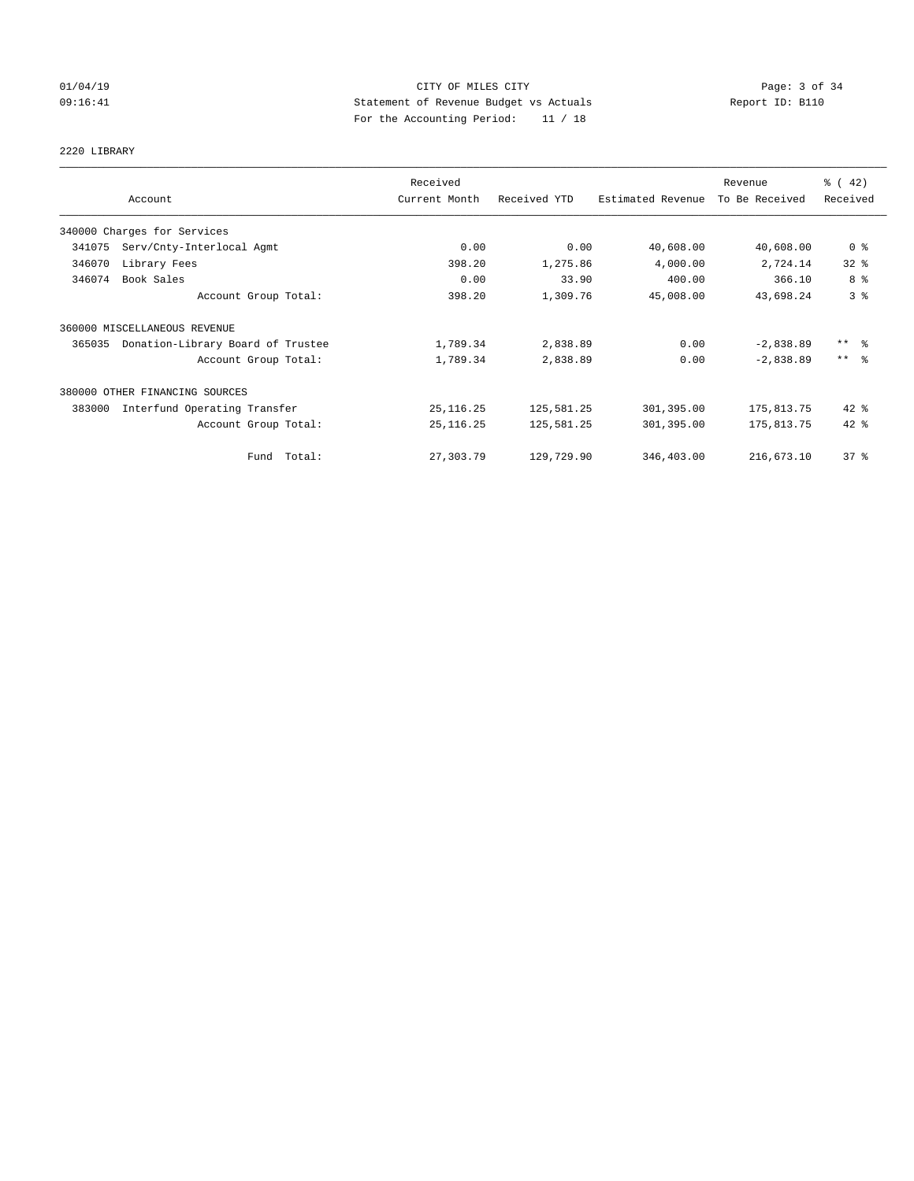## 01/04/19 CITY OF MILES CITY Page: 3 of 34 09:16:41 Statement of Revenue Budget vs Actuals Report ID: B110 For the Accounting Period: 11 / 18

# 2220 LIBRARY

|        |                                   | Received      |              |                   | Revenue        | $\frac{1}{6}$ ( 42)     |
|--------|-----------------------------------|---------------|--------------|-------------------|----------------|-------------------------|
|        | Account                           | Current Month | Received YTD | Estimated Revenue | To Be Received | Received                |
|        | 340000 Charges for Services       |               |              |                   |                |                         |
| 341075 | Serv/Cnty-Interlocal Agmt         | 0.00          | 0.00         | 40,608.00         | 40,608.00      | 0 <sup>8</sup>          |
| 346070 | Library Fees                      | 398.20        | 1,275.86     | 4,000.00          | 2,724.14       | 32%                     |
| 346074 | Book Sales                        | 0.00          | 33.90        | 400.00            | 366.10         | 8 %                     |
|        | Account Group Total:              | 398.20        | 1,309.76     | 45,008.00         | 43,698.24      | 3%                      |
|        | 360000 MISCELLANEOUS REVENUE      |               |              |                   |                |                         |
| 365035 | Donation-Library Board of Trustee | 1,789.34      | 2,838.89     | 0.00              | $-2,838.89$    | $***$ $\frac{6}{5}$     |
|        | Account Group Total:              | 1,789.34      | 2,838.89     | 0.00              | $-2,838.89$    | $***$ $=$ $\frac{6}{5}$ |
|        | 380000 OTHER FINANCING SOURCES    |               |              |                   |                |                         |
| 383000 | Interfund Operating Transfer      | 25,116.25     | 125,581.25   | 301,395.00        | 175,813.75     | $42$ %                  |
|        | Account Group Total:              | 25, 116.25    | 125,581.25   | 301,395.00        | 175,813.75     | $42$ $%$                |
|        | Fund Total:                       | 27,303.79     | 129,729.90   | 346,403.00        | 216,673.10     | 37%                     |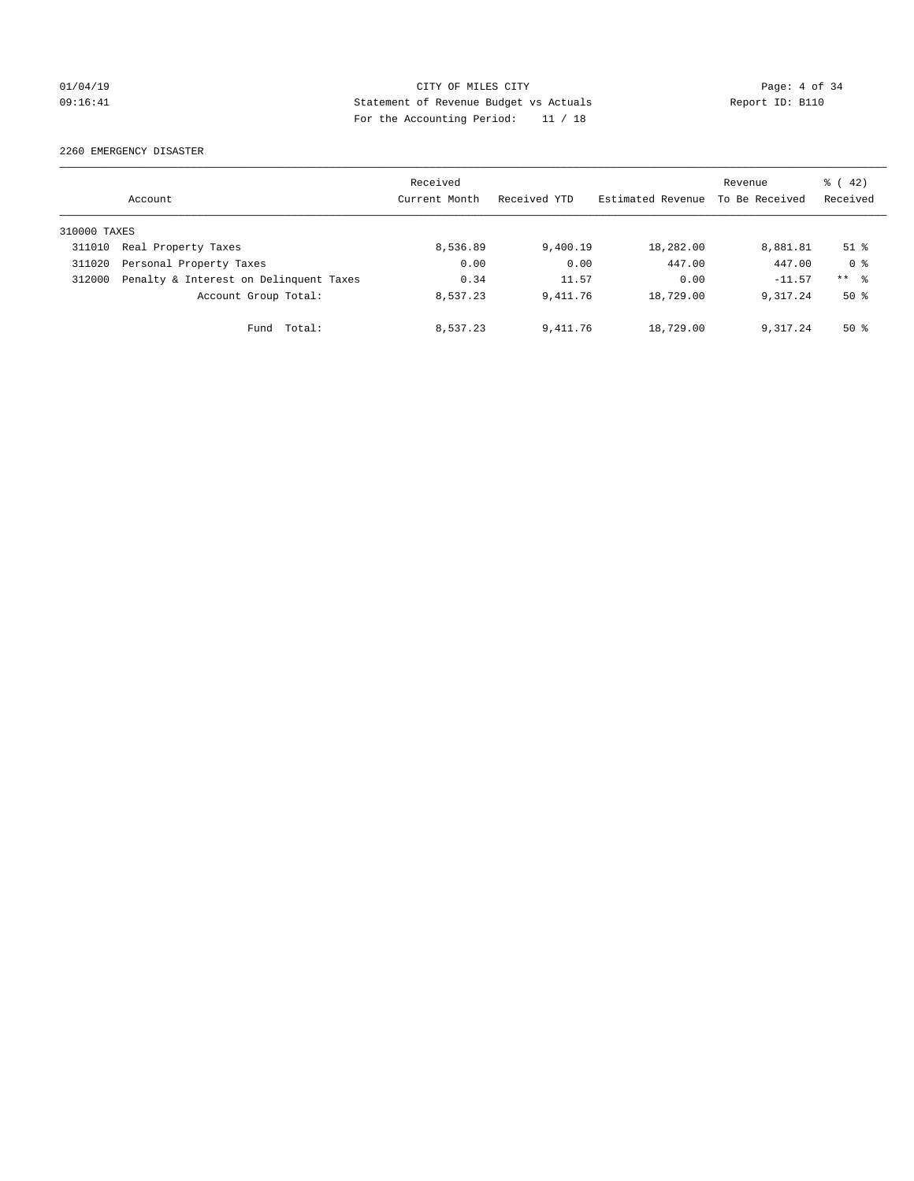## 01/04/19 CITY OF MILES CITY Page: 4 of 34 09:16:41 Statement of Revenue Budget vs Actuals Report ID: B110 For the Accounting Period: 11 / 18

2260 EMERGENCY DISASTER

|              | Account                                | Received<br>Current Month | Received YTD | Estimated Revenue | Revenue<br>To Be Received | $\frac{1}{6}$ ( 42)<br>Received |
|--------------|----------------------------------------|---------------------------|--------------|-------------------|---------------------------|---------------------------------|
| 310000 TAXES |                                        |                           |              |                   |                           |                                 |
| 311010       | Real Property Taxes                    | 8,536.89                  | 9,400.19     | 18,282.00         | 8,881.81                  | $51$ %                          |
| 311020       | Personal Property Taxes                | 0.00                      | 0.00         | 447.00            | 447.00                    | 0 <sup>8</sup>                  |
| 312000       | Penalty & Interest on Delinquent Taxes | 0.34                      | 11.57        | 0.00              | $-11.57$                  | $***$ $ -$                      |
|              | Account Group Total:                   | 8,537.23                  | 9, 411, 76   | 18,729.00         | 9.317.24                  | $50*$                           |
|              | Total:<br>Fund                         | 8,537.23                  | 9,411.76     | 18,729.00         | 9,317.24                  | $50*$                           |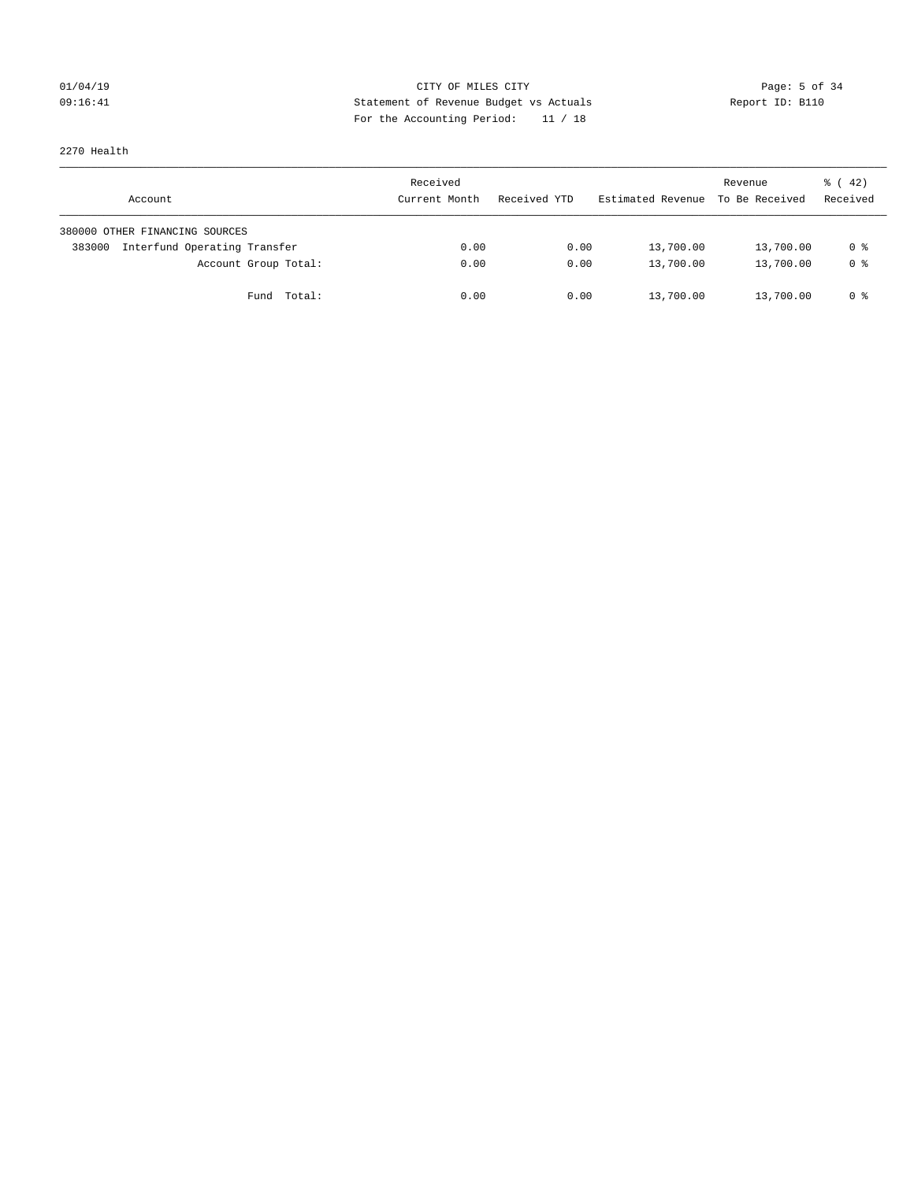# 01/04/19 CITY OF MILES CITY CHECK CITY CONTROL Page: 5 of 34 09:16:41 Statement of Revenue Budget vs Actuals Report ID: B110 For the Accounting Period: 11 / 18

2270 Health

| Account                                | Received<br>Current Month | Received YTD | Estimated Revenue | Revenue<br>To Be Received | $\frac{1}{6}$ ( 42)<br>Received |
|----------------------------------------|---------------------------|--------------|-------------------|---------------------------|---------------------------------|
| 380000 OTHER FINANCING SOURCES         |                           |              |                   |                           |                                 |
| Interfund Operating Transfer<br>383000 | 0.00                      | 0.00         | 13,700.00         | 13,700.00                 | 0 %                             |
| Account Group Total:                   | 0.00                      | 0.00         | 13,700.00         | 13,700.00                 | 0 %                             |
| Fund Total:                            | 0.00                      | 0.00         | 13,700.00         | 13,700.00                 | 0 %                             |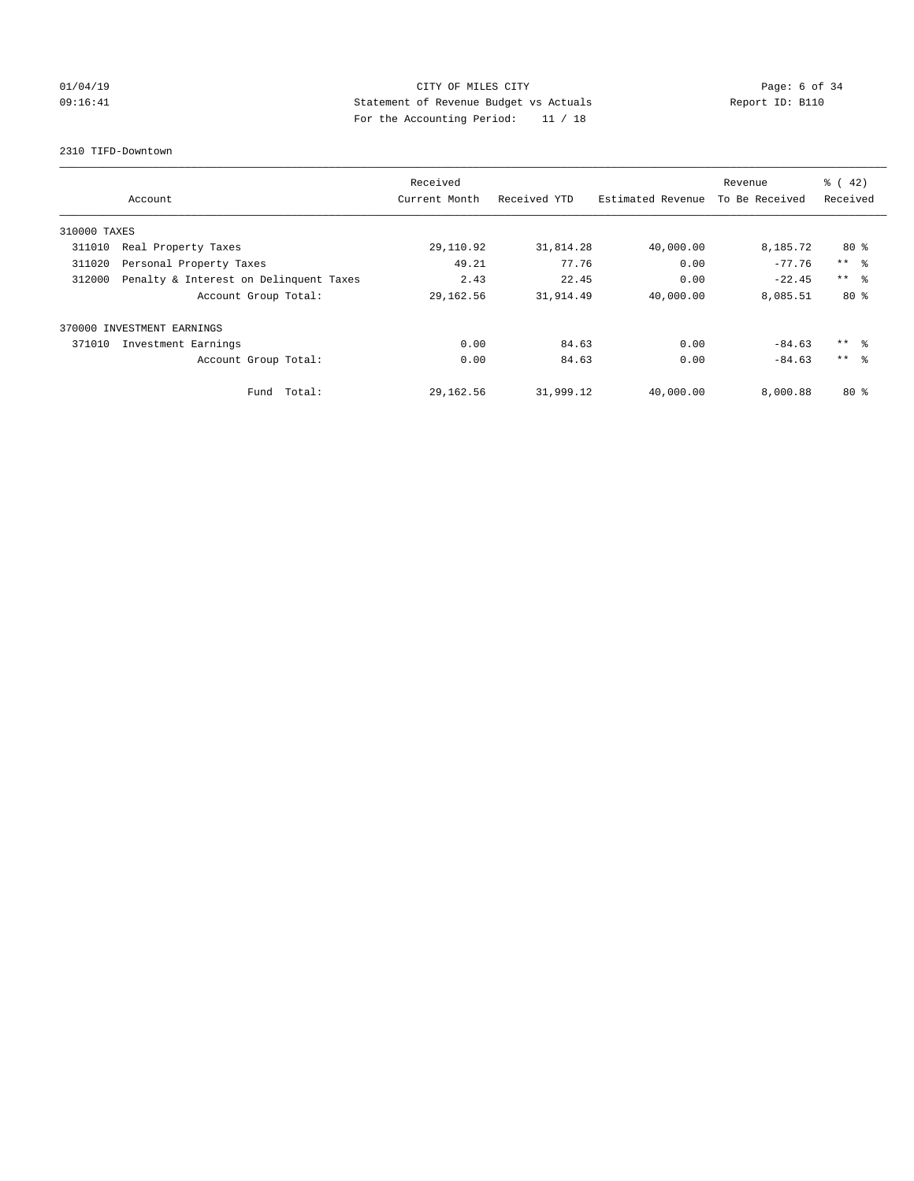# 01/04/19 CITY OF MILES CITY CHECK CITY CONTROL Page: 6 of 34 09:16:41 Statement of Revenue Budget vs Actuals Report ID: B110 For the Accounting Period: 11 / 18

#### 2310 TIFD-Downtown

|              |                                        | Received      |              |                   | Revenue        | $\frac{3}{6}$ ( 42) |
|--------------|----------------------------------------|---------------|--------------|-------------------|----------------|---------------------|
|              | Account                                | Current Month | Received YTD | Estimated Revenue | To Be Received | Received            |
| 310000 TAXES |                                        |               |              |                   |                |                     |
| 311010       | Real Property Taxes                    | 29,110.92     | 31,814.28    | 40,000.00         | 8,185.72       | $80*$               |
| 311020       | Personal Property Taxes                | 49.21         | 77.76        | 0.00              | $-77.76$       | $***$ $ -$          |
| 312000       | Penalty & Interest on Delinquent Taxes | 2.43          | 22.45        | 0.00              | $-22.45$       | $***$ $\approx$     |
|              | Account Group Total:                   | 29,162.56     | 31,914.49    | 40,000.00         | 8,085.51       | $80*$               |
|              | 370000 INVESTMENT EARNINGS             |               |              |                   |                |                     |
| 371010       | Investment Earnings                    | 0.00          | 84.63        | 0.00              | $-84.63$       | $***$ $\approx$     |
|              | Account Group Total:                   | 0.00          | 84.63        | 0.00              | $-84.63$       | $***$ $\approx$     |
|              | Total:<br>Fund                         | 29,162.56     | 31,999.12    | 40,000.00         | 8,000.88       | $80*$               |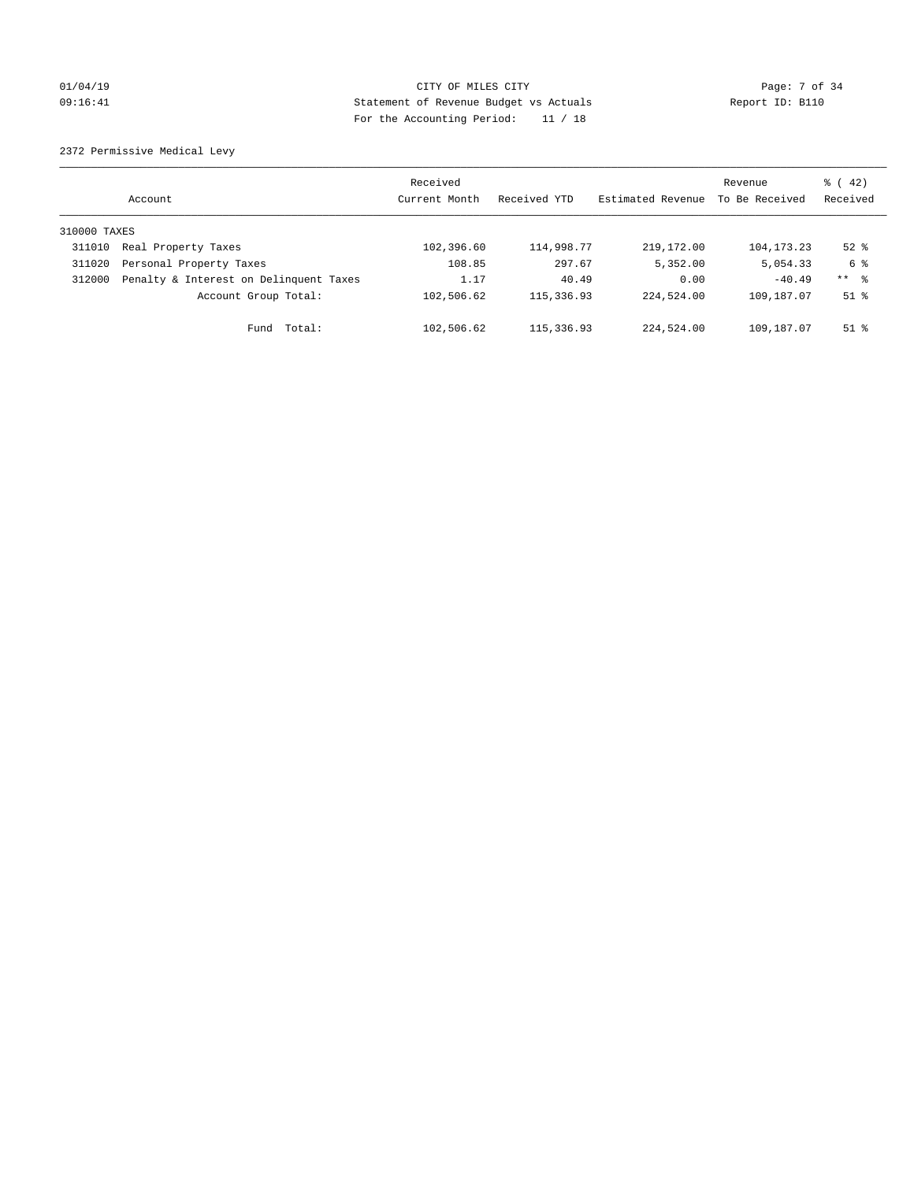# 01/04/19 CITY OF MILES CITY CHARGES CITY CONTROL Page: 7 of 34 09:16:41 Statement of Revenue Budget vs Actuals Report ID: B110 For the Accounting Period: 11 / 18

2372 Permissive Medical Levy

|              | Account                                | Received<br>Current Month | Received YTD | Estimated Revenue | Revenue<br>To Be Received | $\frac{1}{6}$ ( 42)<br>Received |
|--------------|----------------------------------------|---------------------------|--------------|-------------------|---------------------------|---------------------------------|
| 310000 TAXES |                                        |                           |              |                   |                           |                                 |
| 311010       | Real Property Taxes                    | 102,396.60                | 114,998.77   | 219, 172, 00      | 104, 173. 23              | $52$ $%$                        |
| 311020       | Personal Property Taxes                | 108.85                    | 297.67       | 5,352.00          | 5,054.33                  | 6 %                             |
| 312000       | Penalty & Interest on Delinquent Taxes | 1.17                      | 40.49        | 0.00              | $-40.49$                  | ** 8                            |
|              | Account Group Total:                   | 102,506.62                | 115,336.93   | 224,524.00        | 109,187.07                | $51$ $\frac{6}{3}$              |
|              | Total:<br>Fund                         | 102,506.62                | 115,336.93   | 224,524.00        | 109,187.07                | $51$ %                          |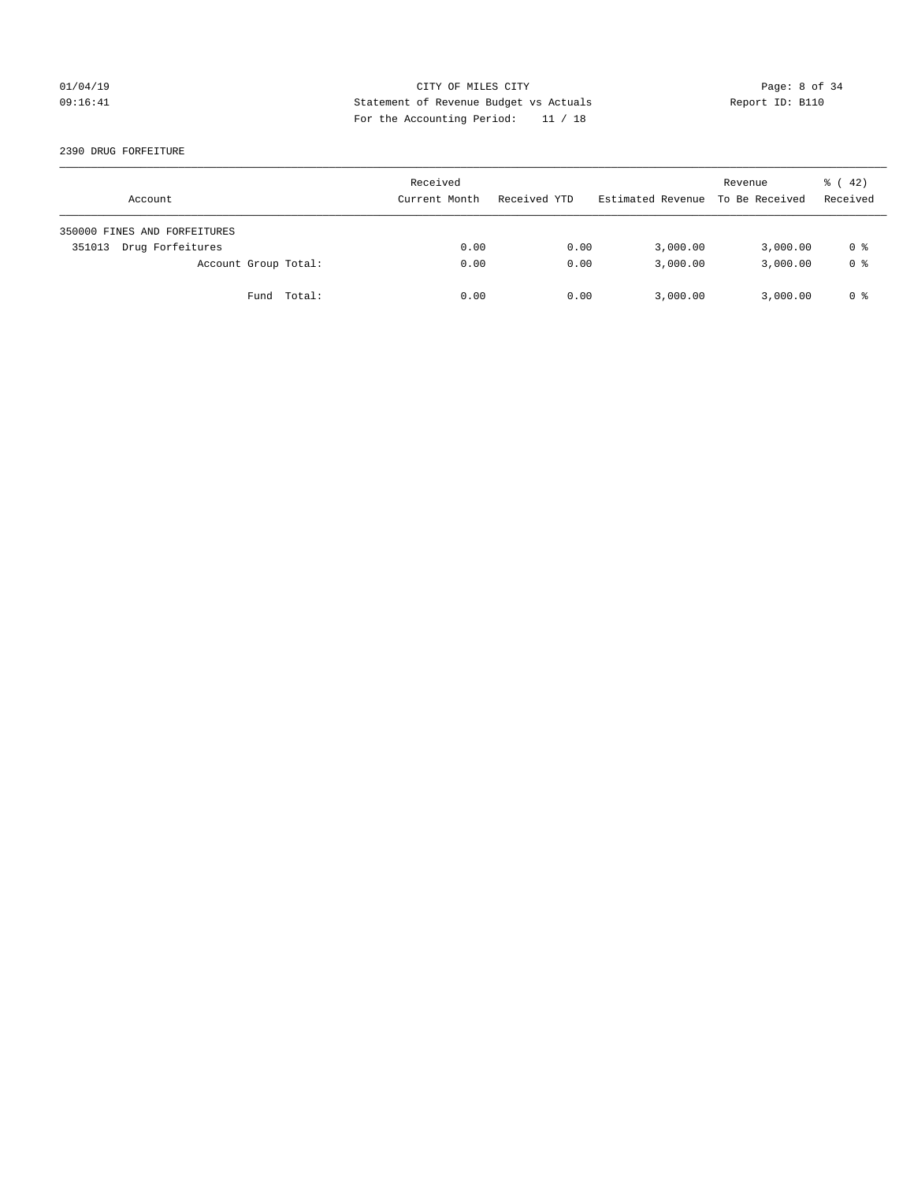## 01/04/19 CITY OF MILES CITY Page: 8 of 34 09:16:41 Statement of Revenue Budget vs Actuals Report ID: B110 For the Accounting Period: 11 / 18

2390 DRUG FORFEITURE

| Account                      | Received<br>Current Month | Received YTD | Estimated Revenue | Revenue<br>To Be Received | $\frac{1}{6}$ ( 42)<br>Received |
|------------------------------|---------------------------|--------------|-------------------|---------------------------|---------------------------------|
| 350000 FINES AND FORFEITURES |                           |              |                   |                           |                                 |
| Drug Forfeitures<br>351013   | 0.00                      | 0.00         | 3,000.00          | 3,000.00                  | 0 %                             |
| Account Group Total:         | 0.00                      | 0.00         | 3,000.00          | 3,000.00                  | 0 <sup>8</sup>                  |
| Fund Total:                  | 0.00                      | 0.00         | 3,000.00          | 3,000.00                  | 0 %                             |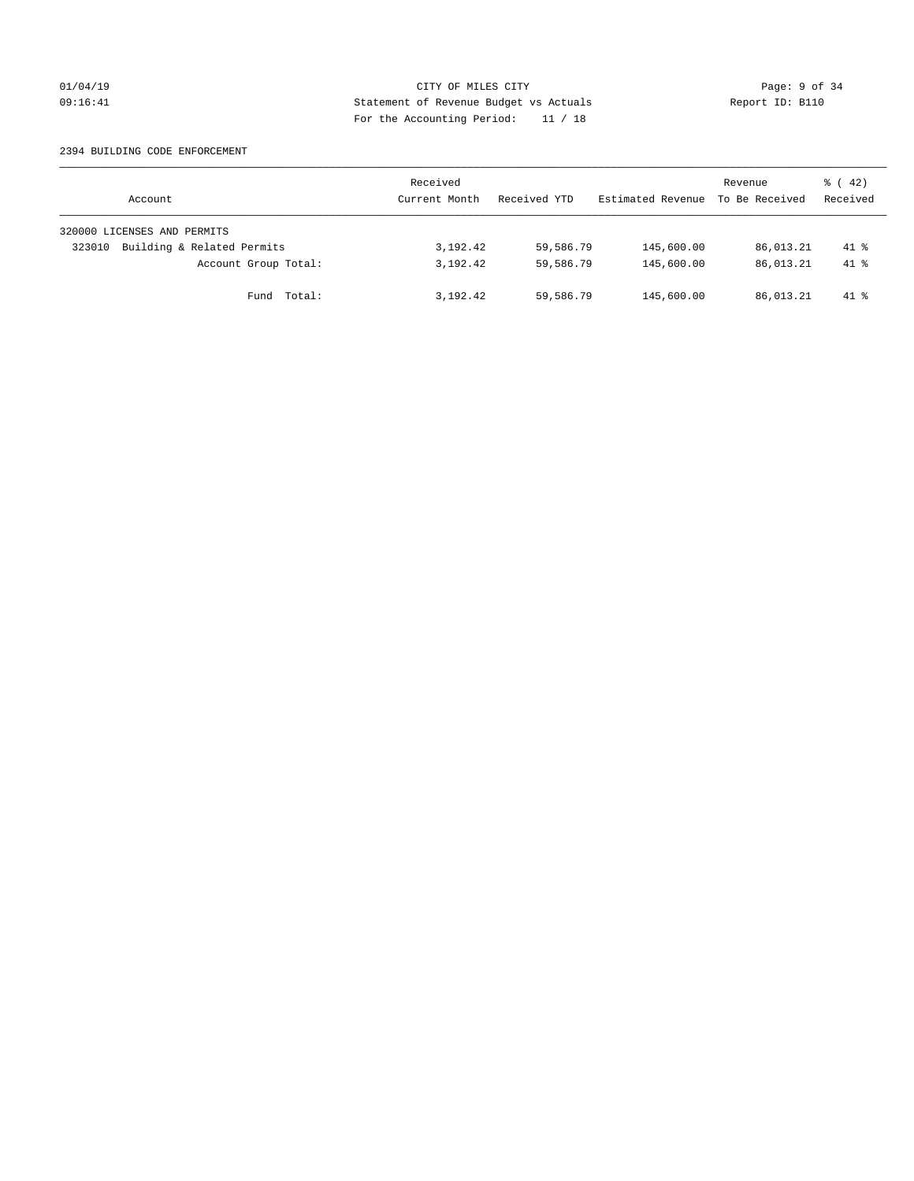## 01/04/19 CITY OF MILES CITY Page: 9 of 34 09:16:41 Statement of Revenue Budget vs Actuals Report ID: B110 For the Accounting Period: 11 / 18

#### 2394 BUILDING CODE ENFORCEMENT

| Account                              | Received<br>Current Month | Received YTD | Estimated Revenue | Revenue<br>To Be Received | $\frac{1}{6}$ ( 42)<br>Received |
|--------------------------------------|---------------------------|--------------|-------------------|---------------------------|---------------------------------|
| 320000 LICENSES AND PERMITS          |                           |              |                   |                           |                                 |
| Building & Related Permits<br>323010 | 3,192.42                  | 59,586.79    | 145,600.00        | 86,013.21                 | $41*$                           |
| Account Group Total:                 | 3,192.42                  | 59,586.79    | 145,600.00        | 86,013.21                 | $41*$                           |
| Fund Total:                          | 3,192.42                  | 59,586.79    | 145,600.00        | 86,013.21                 | $41*$                           |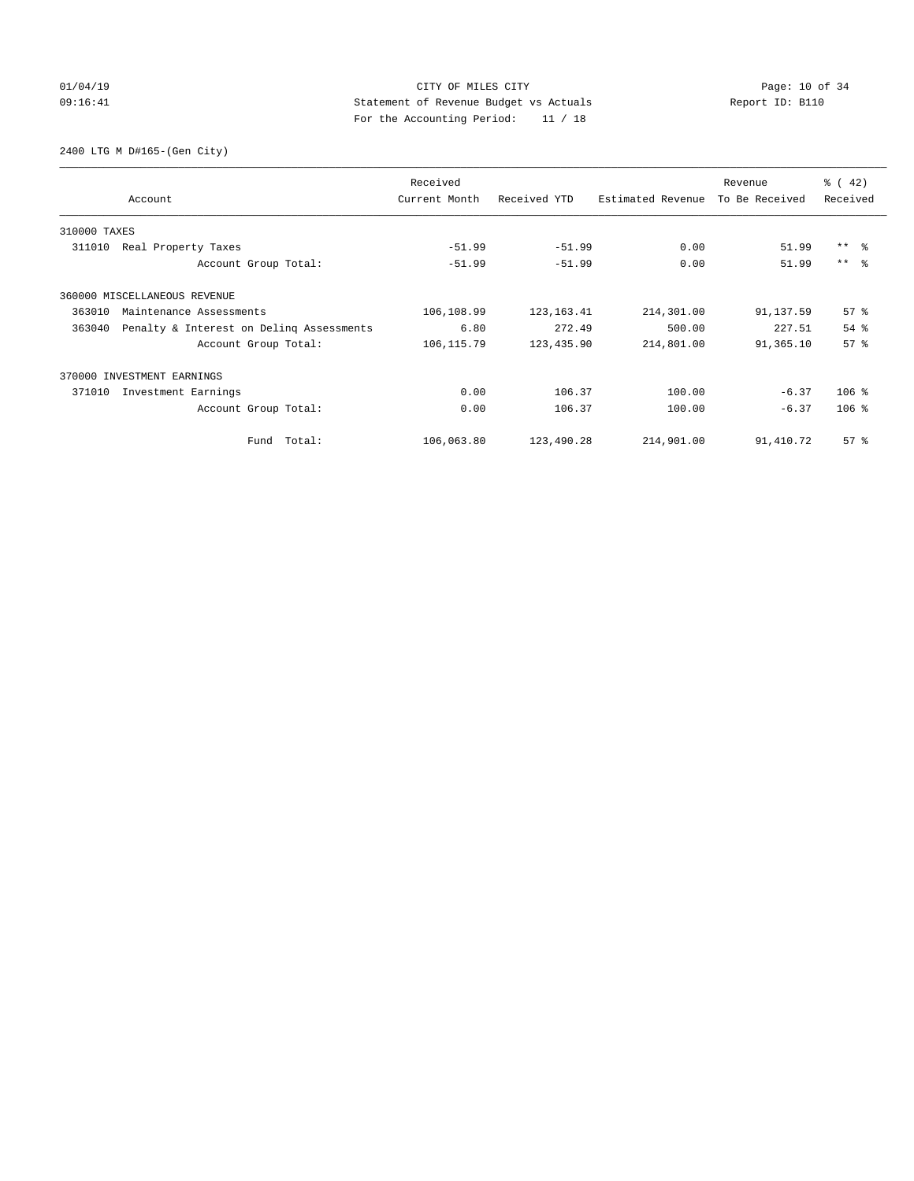# $CITY$  OF MILES  $CITY$  and the contract of  $34$ 09:16:41 Statement of Revenue Budget vs Actuals Report ID: B110 For the Accounting Period: 11 / 18

2400 LTG M D#165-(Gen City)

|              | Account                                  | Received<br>Current Month | Received YTD | Estimated Revenue | Revenue<br>To Be Received | $\frac{1}{6}$ ( 42)<br>Received |
|--------------|------------------------------------------|---------------------------|--------------|-------------------|---------------------------|---------------------------------|
| 310000 TAXES |                                          |                           |              |                   |                           |                                 |
| 311010       | Real Property Taxes                      | $-51.99$                  | $-51.99$     | 0.00              | 51.99                     | $***$ $ -$                      |
|              | Account Group Total:                     | $-51.99$                  | $-51.99$     | 0.00              | 51.99                     | $***$ $ -$                      |
|              | 360000 MISCELLANEOUS REVENUE             |                           |              |                   |                           |                                 |
| 363010       | Maintenance Assessments                  | 106,108.99                | 123, 163. 41 | 214,301.00        | 91,137.59                 | $57*$                           |
| 363040       | Penalty & Interest on Deling Assessments | 6.80                      | 272.49       | 500.00            | 227.51                    | 54%                             |
|              | Account Group Total:                     | 106, 115.79               | 123, 435.90  | 214,801.00        | 91,365.10                 | 57 <sup>8</sup>                 |
|              | 370000 INVESTMENT EARNINGS               |                           |              |                   |                           |                                 |
| 371010       | Investment Earnings                      | 0.00                      | 106.37       | 100.00            | $-6.37$                   | $106$ %                         |
|              | Account Group Total:                     | 0.00                      | 106.37       | 100.00            | $-6.37$                   | $106$ %                         |
|              | Fund Total:                              | 106,063.80                | 123,490.28   | 214,901.00        | 91,410.72                 | 57%                             |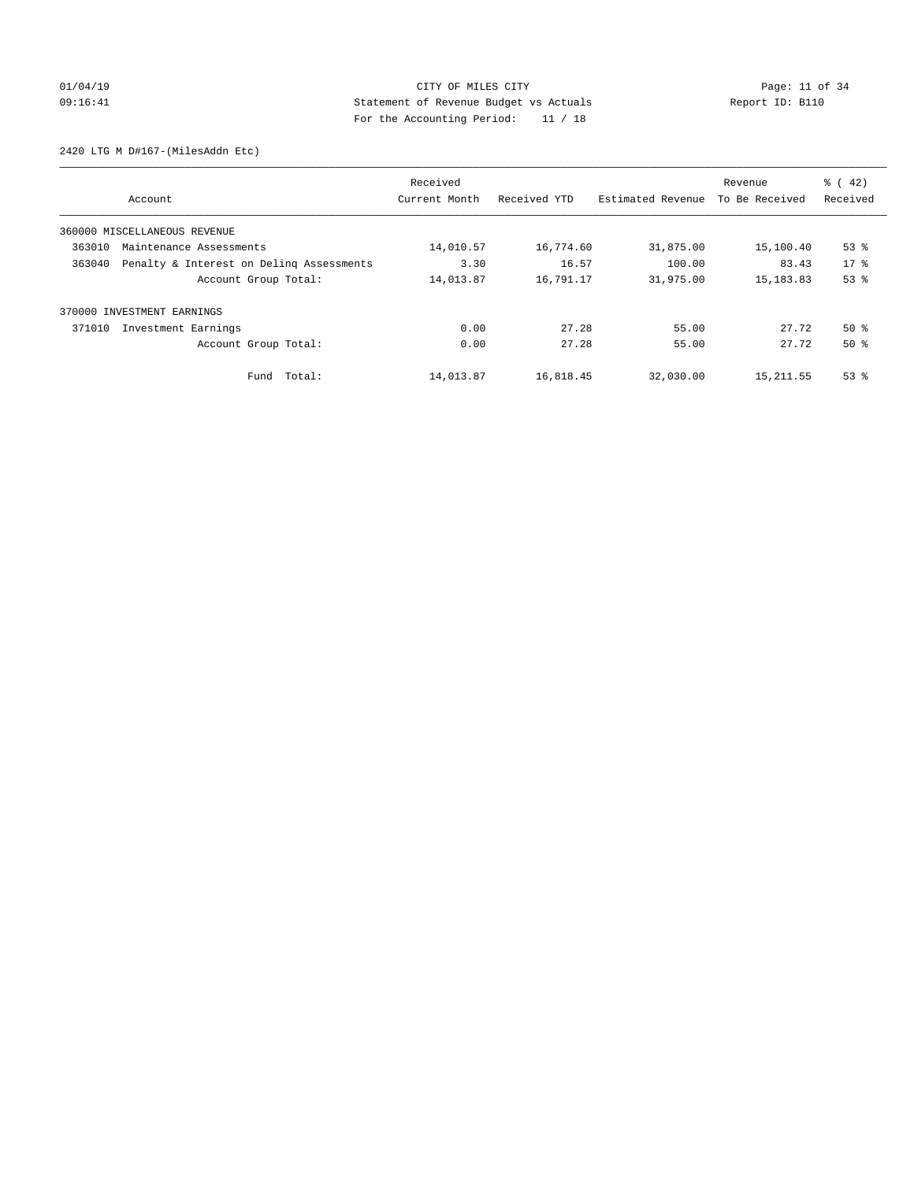# 01/04/19 CITY OF MILES CITY CHECK CONTROL CITY Page: 11 of 34 09:16:41 Statement of Revenue Budget vs Actuals Report ID: B110 For the Accounting Period: 11 / 18

2420 LTG M D#167-(MilesAddn Etc)

|        |                                          | Received      |              |                   | Revenue        | $\frac{1}{6}$ ( 42) |
|--------|------------------------------------------|---------------|--------------|-------------------|----------------|---------------------|
|        | Account                                  | Current Month | Received YTD | Estimated Revenue | To Be Received | Received            |
|        | 360000 MISCELLANEOUS REVENUE             |               |              |                   |                |                     |
| 363010 | Maintenance Assessments                  | 14,010.57     | 16,774.60    | 31,875.00         | 15,100.40      | $53$ $%$            |
| 363040 | Penalty & Interest on Deling Assessments | 3.30          | 16.57        | 100.00            | 83.43          | $17*$               |
|        | Account Group Total:                     | 14,013.87     | 16,791.17    | 31,975.00         | 15, 183.83     | 53%                 |
|        | 370000 INVESTMENT EARNINGS               |               |              |                   |                |                     |
| 371010 | Investment Earnings                      | 0.00          | 27.28        | 55.00             | 27.72          | $50*$               |
|        | Account Group Total:                     | 0.00          | 27.28        | 55.00             | 27.72          | $50*$               |
|        | Total:<br>Fund                           | 14,013.87     | 16,818.45    | 32,030.00         | 15, 211.55     | $53$ $%$            |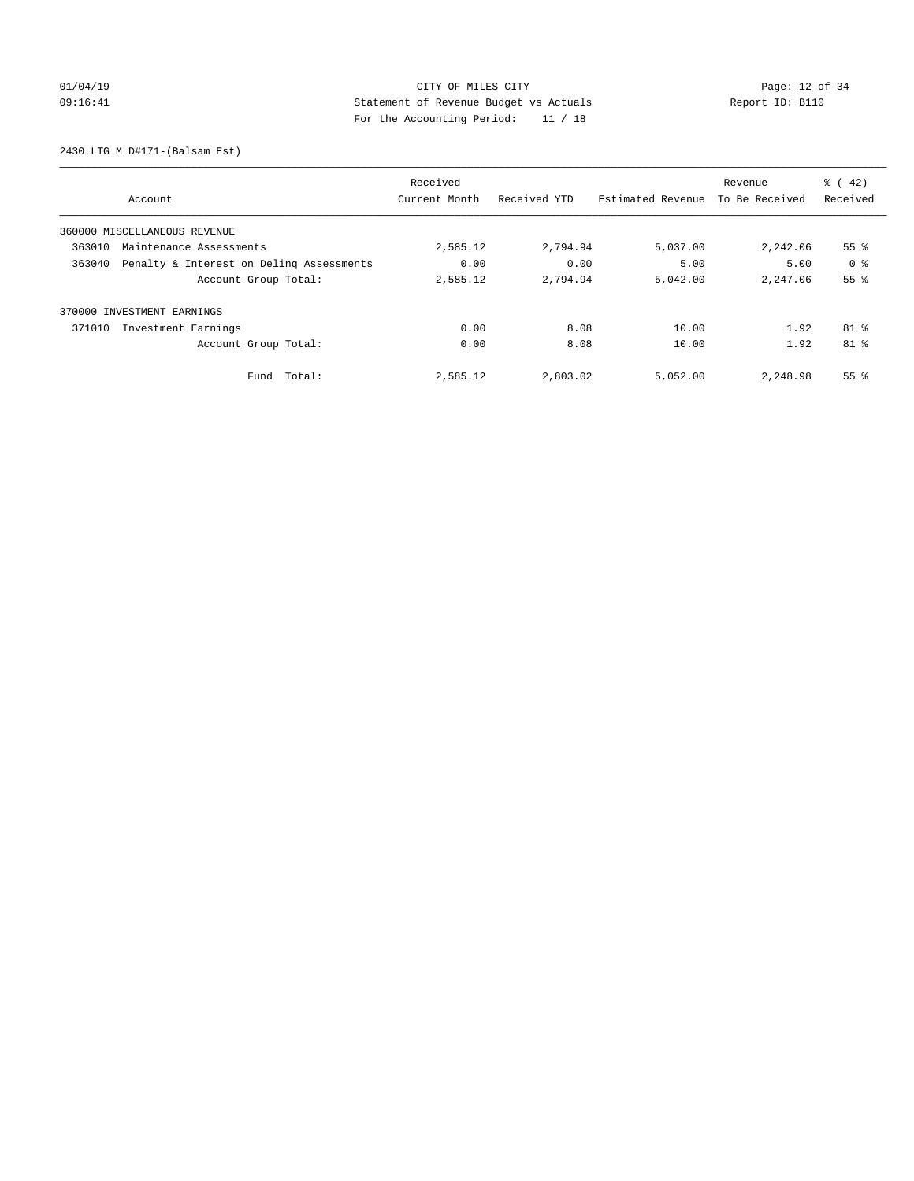# 01/04/19 CITY OF MILES CITY CHECK CONTROL CONTROL Page: 12 of 34 09:16:41 Statement of Revenue Budget vs Actuals Report ID: B110 For the Accounting Period: 11 / 18

2430 LTG M D#171-(Balsam Est)

|        |                                          | Received      |              |                   | Revenue        | $\frac{1}{6}$ ( 42) |
|--------|------------------------------------------|---------------|--------------|-------------------|----------------|---------------------|
|        | Account                                  | Current Month | Received YTD | Estimated Revenue | To Be Received | Received            |
|        | 360000 MISCELLANEOUS REVENUE             |               |              |                   |                |                     |
| 363010 | Maintenance Assessments                  | 2,585.12      | 2,794.94     | 5,037.00          | 2,242.06       | 55 <sup>8</sup>     |
| 363040 | Penalty & Interest on Deling Assessments | 0.00          | 0.00         | 5.00              | 5.00           | 0 <sup>8</sup>      |
|        | Account Group Total:                     | 2,585.12      | 2,794.94     | 5,042.00          | 2,247.06       | 55%                 |
|        | 370000 INVESTMENT EARNINGS               |               |              |                   |                |                     |
| 371010 | Investment Earnings                      | 0.00          | 8.08         | 10.00             | 1.92           | 81 %                |
|        | Account Group Total:                     | 0.00          | 8.08         | 10.00             | 1.92           | 81 %                |
|        | Total:<br>Fund                           | 2,585.12      | 2,803.02     | 5,052.00          | 2,248.98       | 55 <sup>8</sup>     |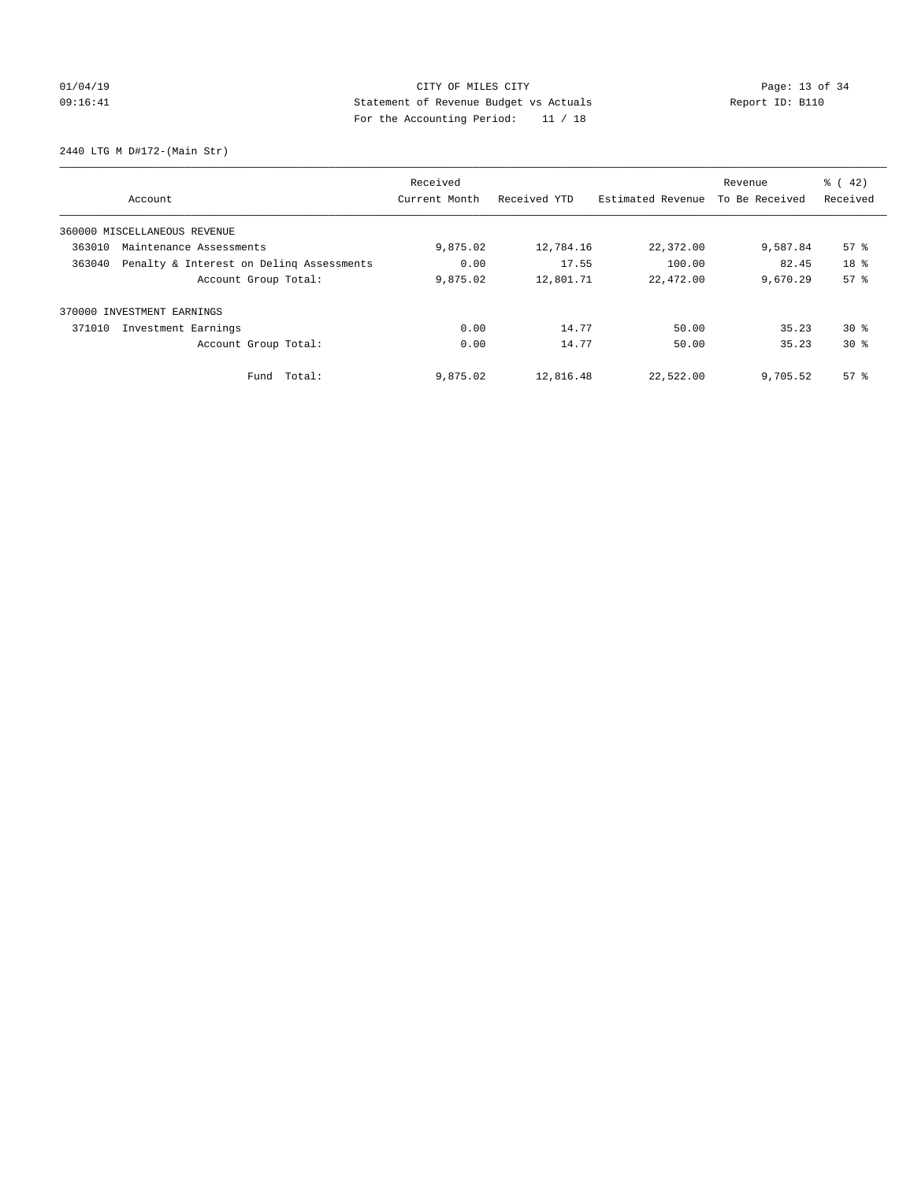# $CITY$  OF MILES CITY OF MILES CITY CHARGE PAGE: 13 of 34 09:16:41 Statement of Revenue Budget vs Actuals Report ID: B110 For the Accounting Period: 11 / 18

2440 LTG M D#172-(Main Str)

|        |                                          | Received      |              |                   | Revenue        | $\frac{1}{6}$ ( 42) |
|--------|------------------------------------------|---------------|--------------|-------------------|----------------|---------------------|
|        | Account                                  | Current Month | Received YTD | Estimated Revenue | To Be Received | Received            |
|        | 360000 MISCELLANEOUS REVENUE             |               |              |                   |                |                     |
| 363010 | Maintenance Assessments                  | 9,875.02      | 12,784.16    | 22,372.00         | 9,587.84       | 57%                 |
| 363040 | Penalty & Interest on Deling Assessments | 0.00          | 17.55        | 100.00            | 82.45          | 18 %                |
|        | Account Group Total:                     | 9,875.02      | 12,801.71    | 22,472.00         | 9,670.29       | 57 <sup>8</sup>     |
| 370000 | INVESTMENT EARNINGS                      |               |              |                   |                |                     |
| 371010 | Investment Earnings                      | 0.00          | 14.77        | 50.00             | 35.23          | $30*$               |
|        | Account Group Total:                     | 0.00          | 14.77        | 50.00             | 35.23          | $30*$               |
|        | Fund Total:                              | 9,875.02      | 12,816.48    | 22,522.00         | 9,705.52       | $57*$               |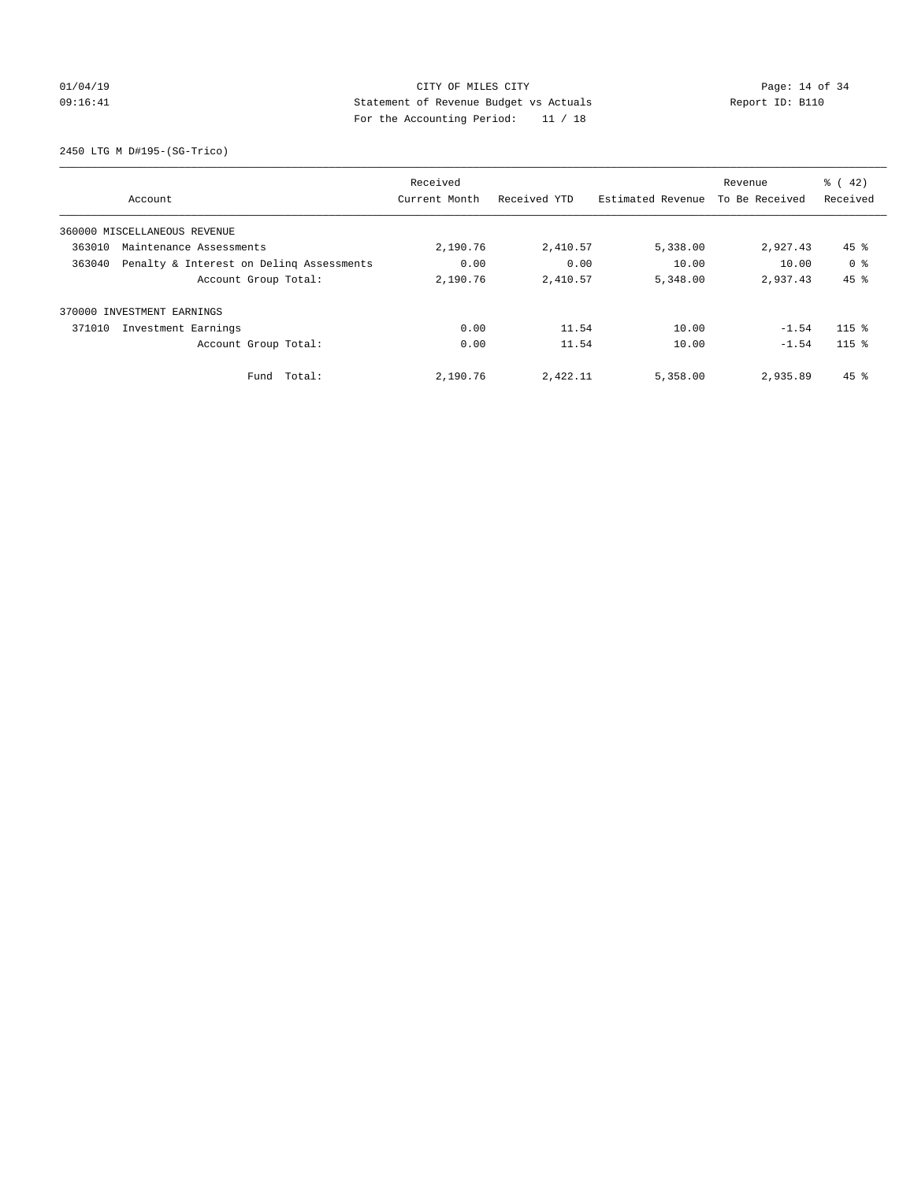# $CITY$  OF MILES CITY OF MILES CITY CHARGE PAGE: 14 of 34 09:16:41 Statement of Revenue Budget vs Actuals Report ID: B110 For the Accounting Period: 11 / 18

2450 LTG M D#195-(SG-Trico)

|        |                                          | Received      |              |                   | Revenue        | $\frac{1}{6}$ ( 42) |
|--------|------------------------------------------|---------------|--------------|-------------------|----------------|---------------------|
|        | Account                                  | Current Month | Received YTD | Estimated Revenue | To Be Received | Received            |
|        | 360000 MISCELLANEOUS REVENUE             |               |              |                   |                |                     |
| 363010 | Maintenance Assessments                  | 2,190.76      | 2,410.57     | 5,338.00          | 2,927.43       | $45$ %              |
| 363040 | Penalty & Interest on Deling Assessments | 0.00          | 0.00         | 10.00             | 10.00          | 0 <sup>8</sup>      |
|        | Account Group Total:                     | 2,190.76      | 2,410.57     | 5,348.00          | 2.937.43       | 45%                 |
|        | 370000 INVESTMENT EARNINGS               |               |              |                   |                |                     |
| 371010 | Investment Earnings                      | 0.00          | 11.54        | 10.00             | $-1.54$        | $115$ %             |
|        | Account Group Total:                     | 0.00          | 11.54        | 10.00             | $-1.54$        | $115$ %             |
|        | Fund Total:                              | 2,190.76      | 2,422.11     | 5,358.00          | 2,935.89       | $45$ $%$            |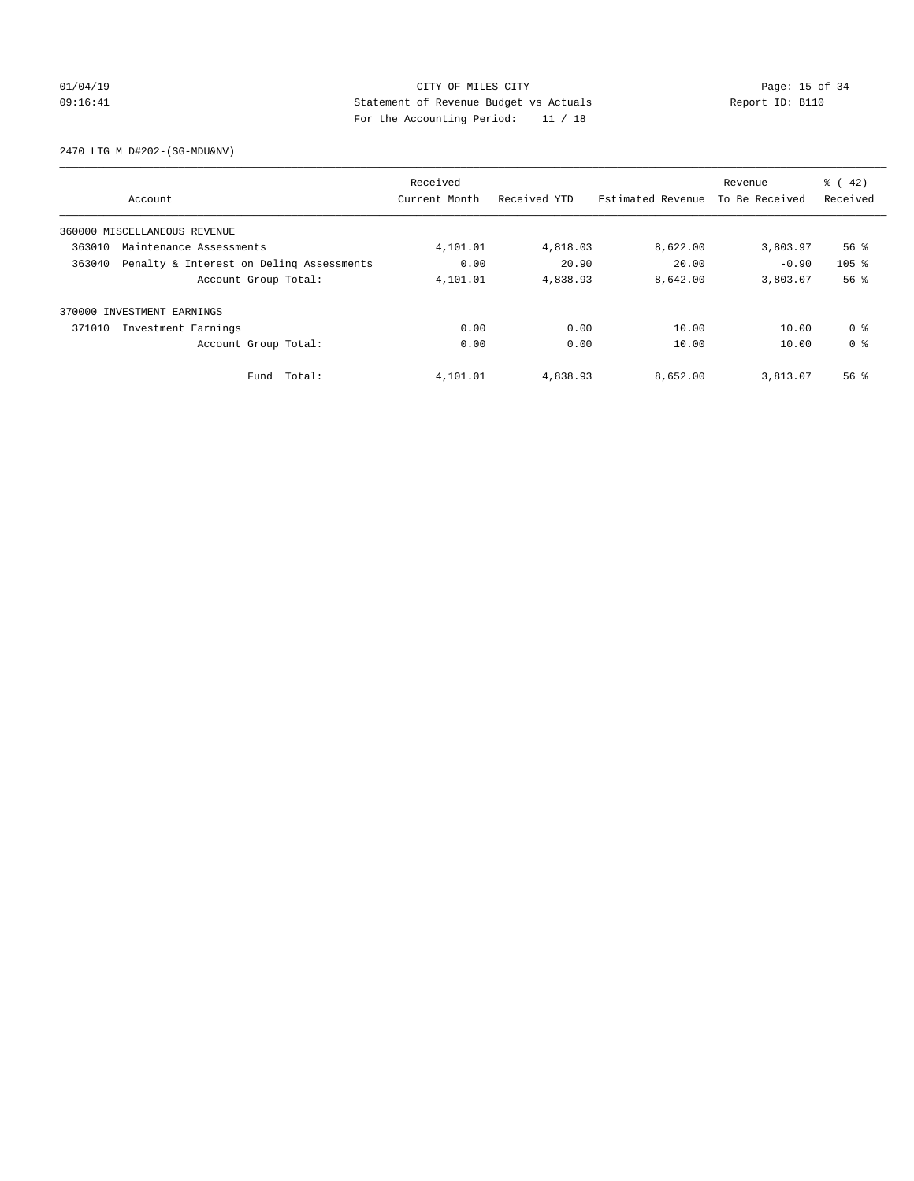# $CITY$  OF MILES  $CITY$  and the contract of  $34$ 09:16:41 Statement of Revenue Budget vs Actuals Report ID: B110 For the Accounting Period: 11 / 18

2470 LTG M D#202-(SG-MDU&NV)

|        |                                          | Received      |              |                   | Revenue        | $\frac{1}{6}$ ( 42) |
|--------|------------------------------------------|---------------|--------------|-------------------|----------------|---------------------|
|        | Account                                  | Current Month | Received YTD | Estimated Revenue | To Be Received | Received            |
|        | 360000 MISCELLANEOUS REVENUE             |               |              |                   |                |                     |
| 363010 | Maintenance Assessments                  | 4,101.01      | 4,818.03     | 8,622.00          | 3,803.97       | $56$ $\frac{6}{3}$  |
| 363040 | Penalty & Interest on Deling Assessments | 0.00          | 20.90        | 20.00             | $-0.90$        | 105 <sup>8</sup>    |
|        | Account Group Total:                     | 4,101.01      | 4,838.93     | 8,642.00          | 3,803.07       | 56%                 |
| 370000 | INVESTMENT EARNINGS                      |               |              |                   |                |                     |
| 371010 | Investment Earnings                      | 0.00          | 0.00         | 10.00             | 10.00          | 0 %                 |
|        | Account Group Total:                     | 0.00          | 0.00         | 10.00             | 10.00          | 0 <sup>8</sup>      |
|        | Fund Total:                              | 4,101.01      | 4,838.93     | 8,652.00          | 3,813.07       | $56$ $\frac{6}{3}$  |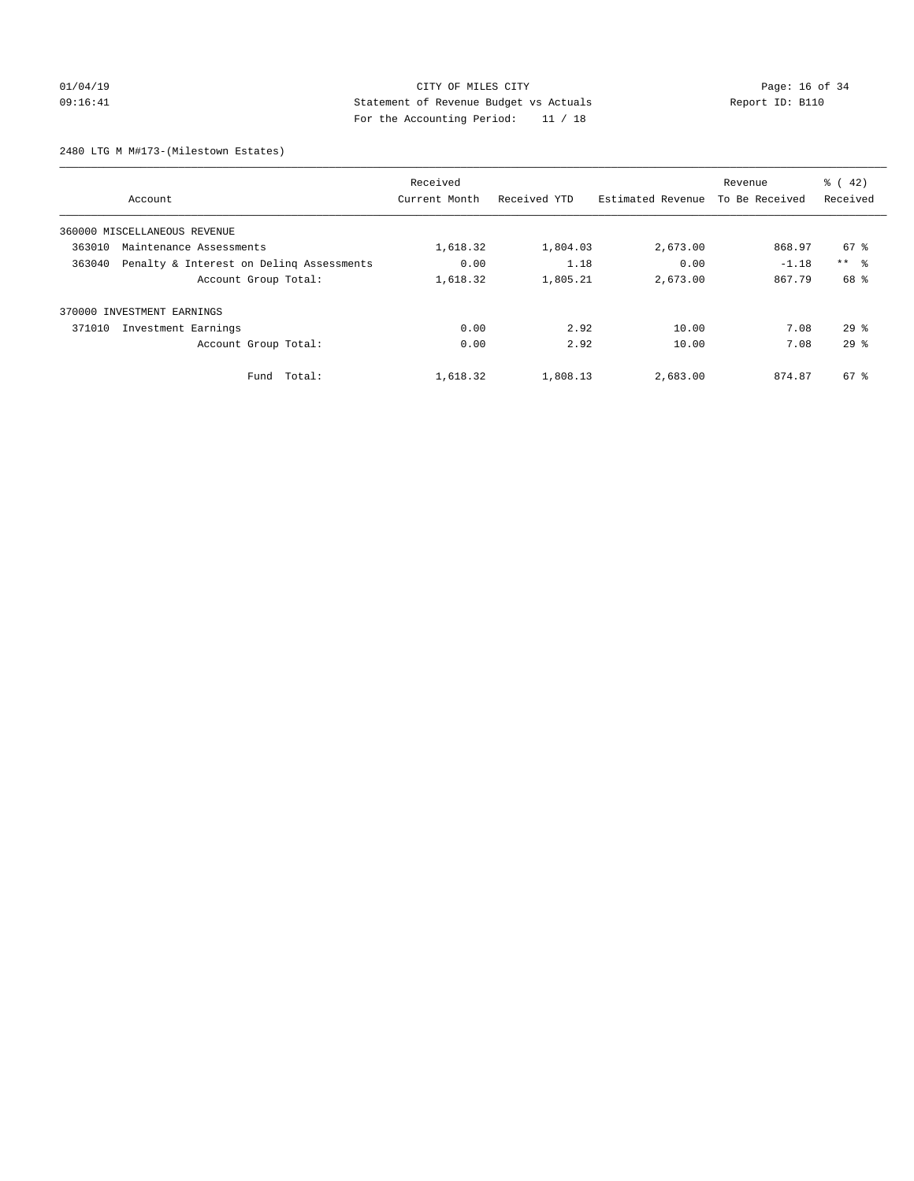## 01/04/19 **Page: 16 of 34** CITY OF MILES CITY **Page: 16 of 34** 09:16:41 Statement of Revenue Budget vs Actuals Report ID: B110 For the Accounting Period: 11 / 18

2480 LTG M M#173-(Milestown Estates)

|        |                                          | Received      |              |                   | Revenue        | $\frac{1}{6}$ ( 42) |
|--------|------------------------------------------|---------------|--------------|-------------------|----------------|---------------------|
|        | Account                                  | Current Month | Received YTD | Estimated Revenue | To Be Received | Received            |
|        | 360000 MISCELLANEOUS REVENUE             |               |              |                   |                |                     |
| 363010 | Maintenance Assessments                  | 1,618.32      | 1,804.03     | 2,673.00          | 868.97         | 67 %                |
| 363040 | Penalty & Interest on Deling Assessments | 0.00          | 1.18         | 0.00              | $-1.18$        | $***$ $ -$          |
|        | Account Group Total:                     | 1,618.32      | 1,805.21     | 2,673.00          | 867.79         | 68 %                |
|        | 370000 INVESTMENT EARNINGS               |               |              |                   |                |                     |
| 371010 | Investment Earnings                      | 0.00          | 2.92         | 10.00             | 7.08           | $29*$               |
|        | Account Group Total:                     | 0.00          | 2.92         | 10.00             | 7.08           | 29 <sup>8</sup>     |
|        | Fund Total:                              | 1,618.32      | 1,808.13     | 2,683.00          | 874.87         | $67*$               |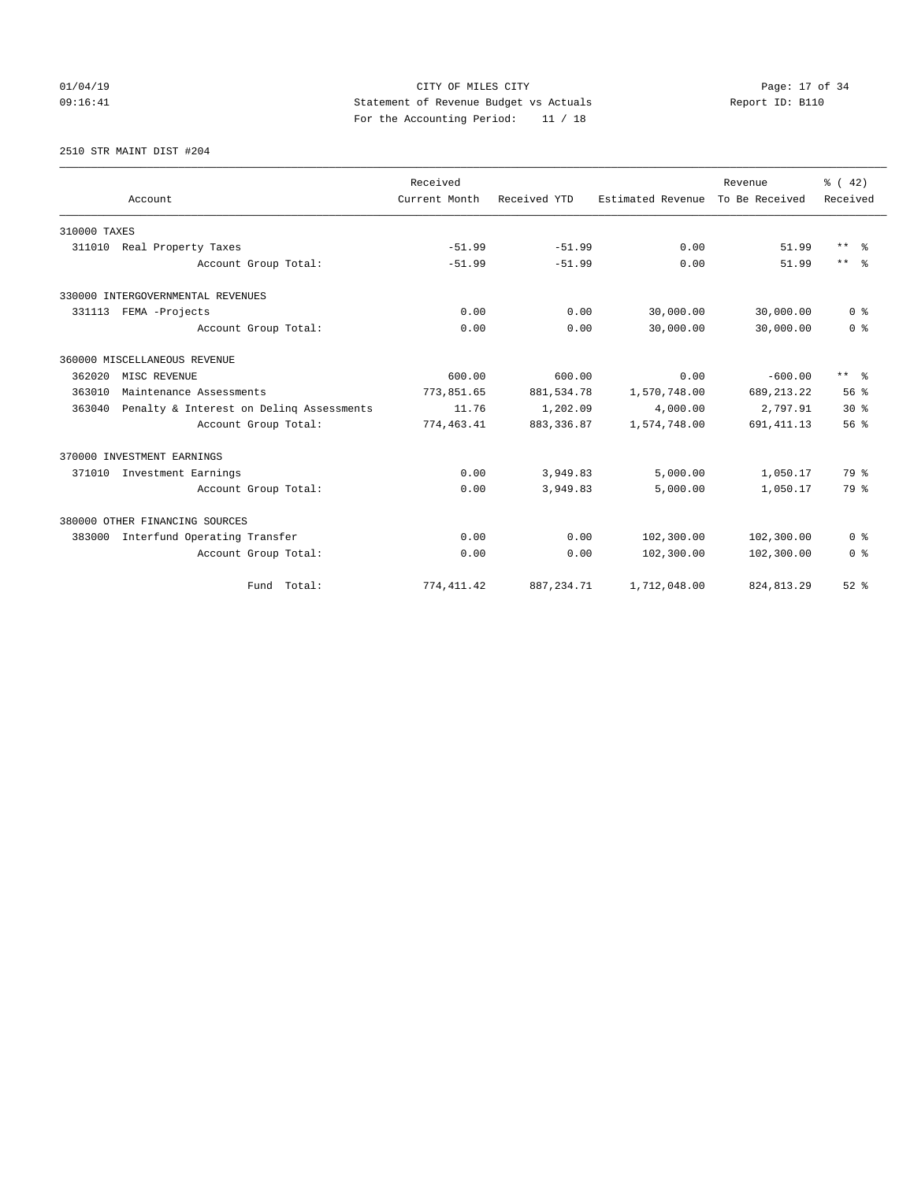# 01/04/19 CITY OF MILES CITY CHECK CITY CHECK Page: 17 of 34 09:16:41 Statement of Revenue Budget vs Actuals Report ID: B110 For the Accounting Period: 11 / 18

2510 STR MAINT DIST #204

|                                                    | Received      |              |                   | Revenue        | % (42)          |
|----------------------------------------------------|---------------|--------------|-------------------|----------------|-----------------|
| Account                                            | Current Month | Received YTD | Estimated Revenue | To Be Received | Received        |
| 310000 TAXES                                       |               |              |                   |                |                 |
| 311010 Real Property Taxes                         | $-51.99$      | $-51.99$     | 0.00              | 51.99          | $***$<br>- 옹    |
| Account Group Total:                               | $-51.99$      | $-51.99$     | 0.00              | 51.99          | $***$ $ -$      |
| 330000 INTERGOVERNMENTAL REVENUES                  |               |              |                   |                |                 |
| 331113 FEMA -Projects                              | 0.00          | 0.00         | 30,000.00         | 30,000.00      | 0 <sup>8</sup>  |
| Account Group Total:                               | 0.00          | 0.00         | 30,000.00         | 30,000.00      | 0 <sup>8</sup>  |
| 360000 MISCELLANEOUS REVENUE                       |               |              |                   |                |                 |
| 362020<br>MISC REVENUE                             | 600.00        | 600.00       | 0.00              | $-600.00$      | $***$ $%$       |
| 363010<br>Maintenance Assessments                  | 773,851.65    | 881,534.78   | 1,570,748.00      | 689, 213. 22   | 56 <sup>8</sup> |
| 363040<br>Penalty & Interest on Deling Assessments | 11.76         | 1,202.09     | 4,000.00          | 2,797.91       | $30*$           |
| Account Group Total:                               | 774,463.41    | 883, 336.87  | 1,574,748.00      | 691, 411.13    | 56 <sup>8</sup> |
| 370000 INVESTMENT EARNINGS                         |               |              |                   |                |                 |
| 371010<br>Investment Earnings                      | 0.00          | 3,949.83     | 5,000.00          | 1,050.17       | 79 %            |
| Account Group Total:                               | 0.00          | 3,949.83     | 5.000.00          | 1,050.17       | 79 %            |
| 380000 OTHER FINANCING SOURCES                     |               |              |                   |                |                 |
| Interfund Operating Transfer<br>383000             | 0.00          | 0.00         | 102,300.00        | 102,300.00     | 0 <sup>8</sup>  |
| Account Group Total:                               | 0.00          | 0.00         | 102,300.00        | 102,300.00     | 0 <sup>8</sup>  |
| Fund Total:                                        | 774, 411.42   | 887, 234.71  | 1,712,048.00      | 824, 813.29    | $52$ $%$        |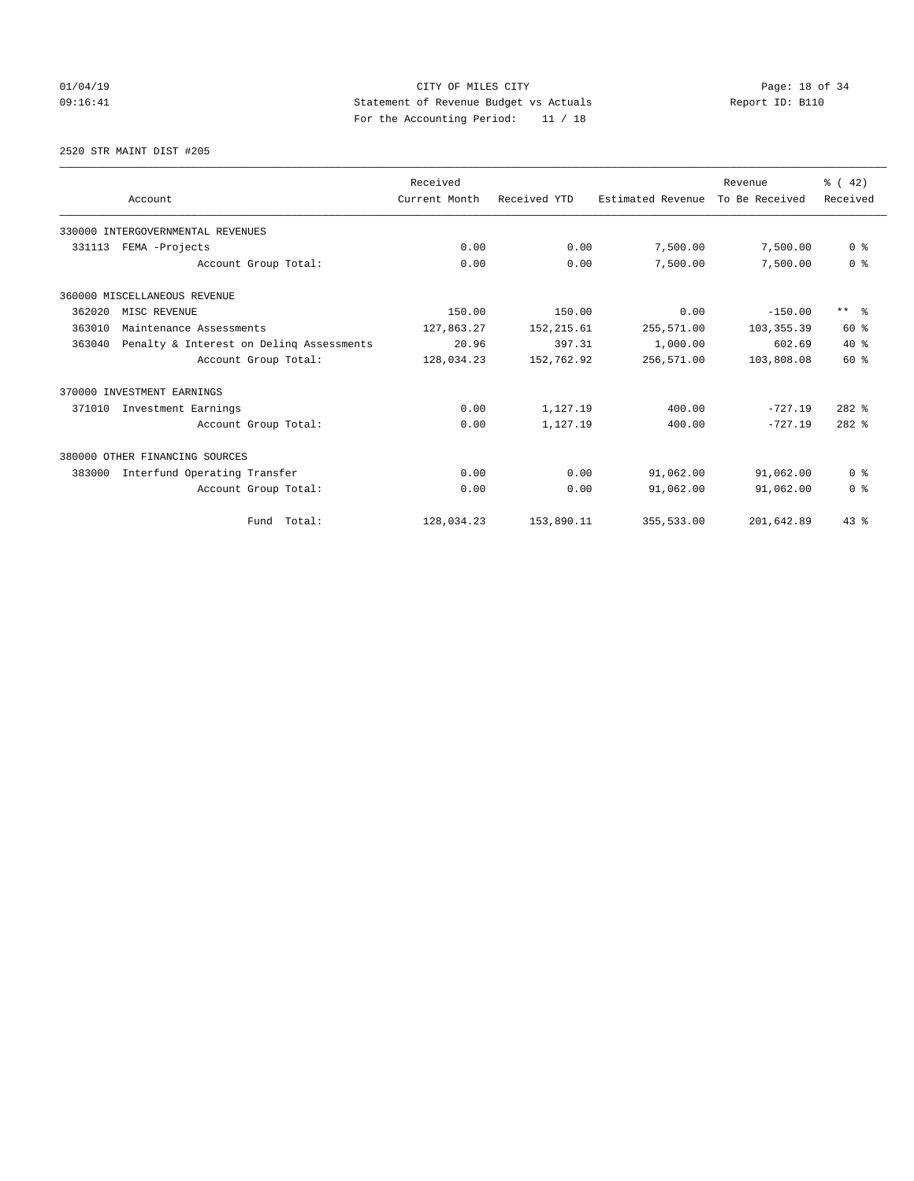# $CITY$  OF MILES  $CITY$  and the contract of  $34$ 09:16:41 Statement of Revenue Budget vs Actuals Report ID: B110 For the Accounting Period: 11 / 18

2520 STR MAINT DIST #205

|        | Account                                  | Received<br>Current Month | Received YTD | Estimated Revenue | Revenue<br>To Be Received | $\frac{3}{6}$ ( 42)<br>Received |
|--------|------------------------------------------|---------------------------|--------------|-------------------|---------------------------|---------------------------------|
|        | 330000 INTERGOVERNMENTAL REVENUES        |                           |              |                   |                           |                                 |
| 331113 | FEMA -Projects                           | 0.00                      | 0.00         | 7,500.00          | 7,500.00                  | 0 <sup>8</sup>                  |
|        | Account Group Total:                     | 0.00                      | 0.00         | 7,500.00          | 7,500.00                  | 0 <sup>8</sup>                  |
|        | 360000 MISCELLANEOUS REVENUE             |                           |              |                   |                           |                                 |
| 362020 | MISC REVENUE                             | 150.00                    | 150.00       | 0.00              | $-150.00$                 | $***$ $=$                       |
| 363010 | Maintenance Assessments                  | 127,863.27                | 152, 215.61  | 255,571.00        | 103, 355.39               | 60 %                            |
| 363040 | Penalty & Interest on Deling Assessments | 20.96                     | 397.31       | 1,000.00          | 602.69                    | $40*$                           |
|        | Account Group Total:                     | 128,034.23                | 152,762.92   | 256,571.00        | 103,808.08                | 60 %                            |
|        | 370000 INVESTMENT EARNINGS               |                           |              |                   |                           |                                 |
| 371010 | Investment Earnings                      | 0.00                      | 1,127.19     | 400.00            | $-727.19$                 | $282$ $%$                       |
|        | Account Group Total:                     | 0.00                      | 1,127.19     | 400.00            | $-727.19$                 | $282$ %                         |
|        | 380000 OTHER FINANCING SOURCES           |                           |              |                   |                           |                                 |
| 383000 | Interfund Operating Transfer             | 0.00                      | 0.00         | 91,062.00         | 91,062.00                 | 0 <sup>8</sup>                  |
|        | Account Group Total:                     | 0.00                      | 0.00         | 91,062.00         | 91,062.00                 | 0 <sup>8</sup>                  |
|        | Fund Total:                              | 128,034.23                | 153,890.11   | 355,533.00        | 201,642.89                | $43*$                           |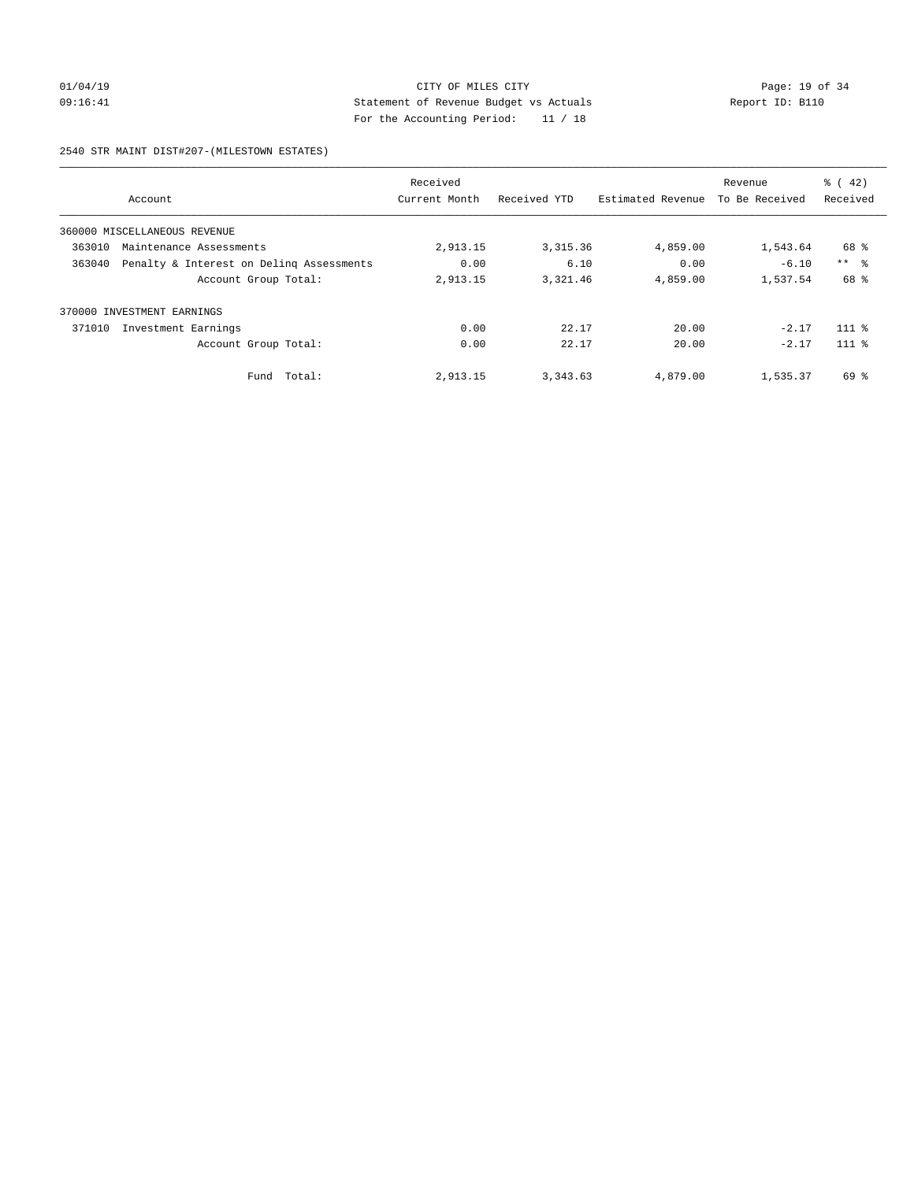## 01/04/19 **Page: 19 of 34** CITY OF MILES CITY **Page: 19 of 34** 09:16:41 Statement of Revenue Budget vs Actuals Report ID: B110 For the Accounting Period: 11 / 18

2540 STR MAINT DIST#207-(MILESTOWN ESTATES)

|        |                                          | Received      |              |                   | Revenue        | $\frac{1}{6}$ ( 42) |
|--------|------------------------------------------|---------------|--------------|-------------------|----------------|---------------------|
|        | Account                                  | Current Month | Received YTD | Estimated Revenue | To Be Received | Received            |
|        | 360000 MISCELLANEOUS REVENUE             |               |              |                   |                |                     |
| 363010 | Maintenance Assessments                  | 2,913.15      | 3, 315.36    | 4,859.00          | 1,543.64       | 68 %                |
| 363040 | Penalty & Interest on Deling Assessments | 0.00          | 6.10         | 0.00              | $-6.10$        | $***$ $\approx$     |
|        | Account Group Total:                     | 2,913.15      | 3,321.46     | 4,859.00          | 1,537.54       | 68 %                |
| 370000 | INVESTMENT EARNINGS                      |               |              |                   |                |                     |
| 371010 | Investment Earnings                      | 0.00          | 22.17        | 20.00             | $-2.17$        | $111$ %             |
|        | Account Group Total:                     | 0.00          | 22.17        | 20.00             | $-2.17$        | $111*$              |
|        | Fund Total:                              | 2,913.15      | 3, 343.63    | 4,879.00          | 1,535.37       | 69 %                |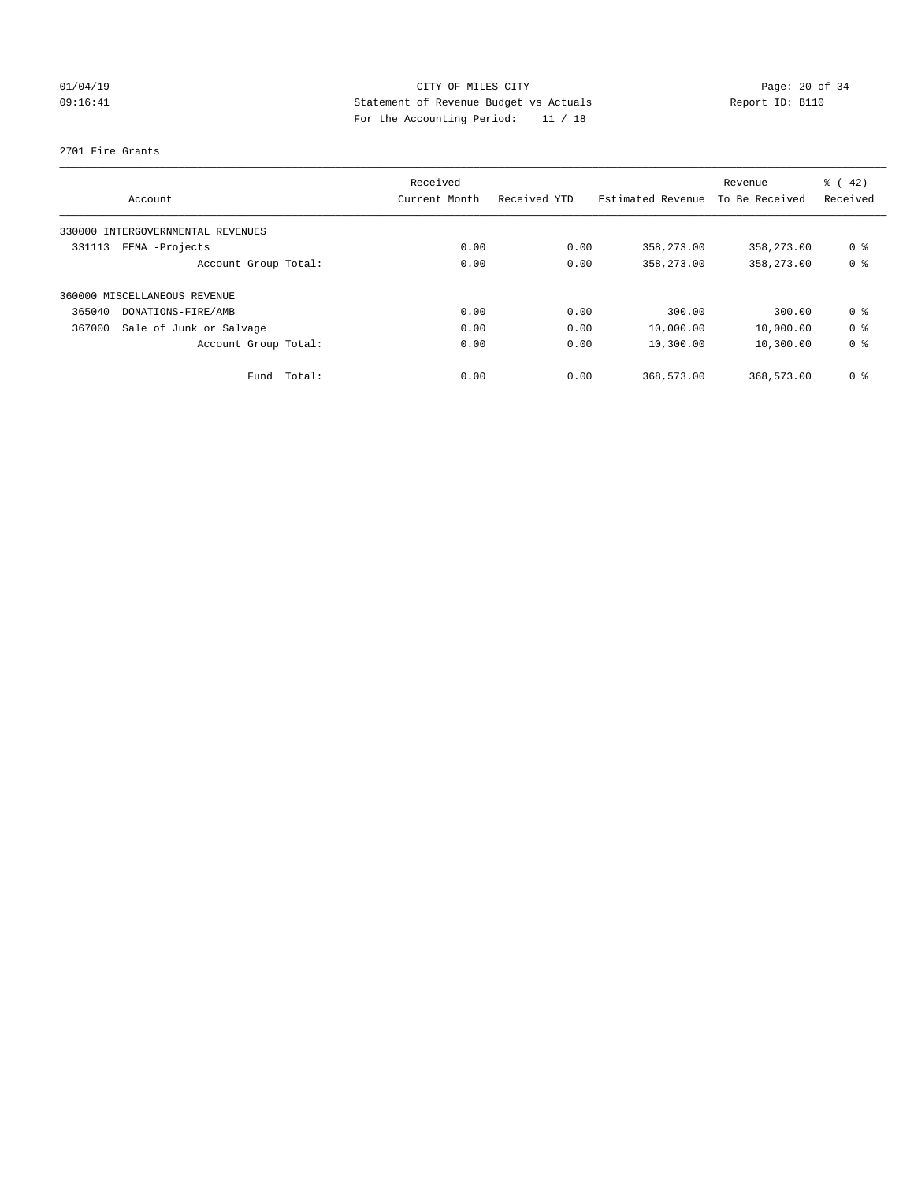# $CITY$  OF MILES  $CITY$  and the contract of  $CITY$  and  $CITY$  and  $P1/04/19$ 09:16:41 Statement of Revenue Budget vs Actuals Report ID: B110 For the Accounting Period: 11 / 18

#### 2701 Fire Grants

|        |                                   | Received      |              |                   | Revenue        | $\frac{1}{6}$ ( 42) |
|--------|-----------------------------------|---------------|--------------|-------------------|----------------|---------------------|
|        | Account                           | Current Month | Received YTD | Estimated Revenue | To Be Received | Received            |
|        | 330000 INTERGOVERNMENTAL REVENUES |               |              |                   |                |                     |
| 331113 | FEMA -Projects                    | 0.00          | 0.00         | 358,273.00        | 358,273.00     | 0 <sup>8</sup>      |
|        | Account Group Total:              | 0.00          | 0.00         | 358,273.00        | 358,273.00     | 0 <sup>8</sup>      |
|        | 360000 MISCELLANEOUS REVENUE      |               |              |                   |                |                     |
| 365040 | DONATIONS-FIRE/AMB                | 0.00          | 0.00         | 300.00            | 300.00         | 0 <sup>8</sup>      |
| 367000 | Sale of Junk or Salvage           | 0.00          | 0.00         | 10,000.00         | 10,000.00      | 0 <sup>8</sup>      |
|        | Account Group Total:              | 0.00          | 0.00         | 10,300.00         | 10,300.00      | 0 <sup>8</sup>      |
|        | Total:<br>Fund                    | 0.00          | 0.00         | 368,573.00        | 368,573.00     | 0 <sup>8</sup>      |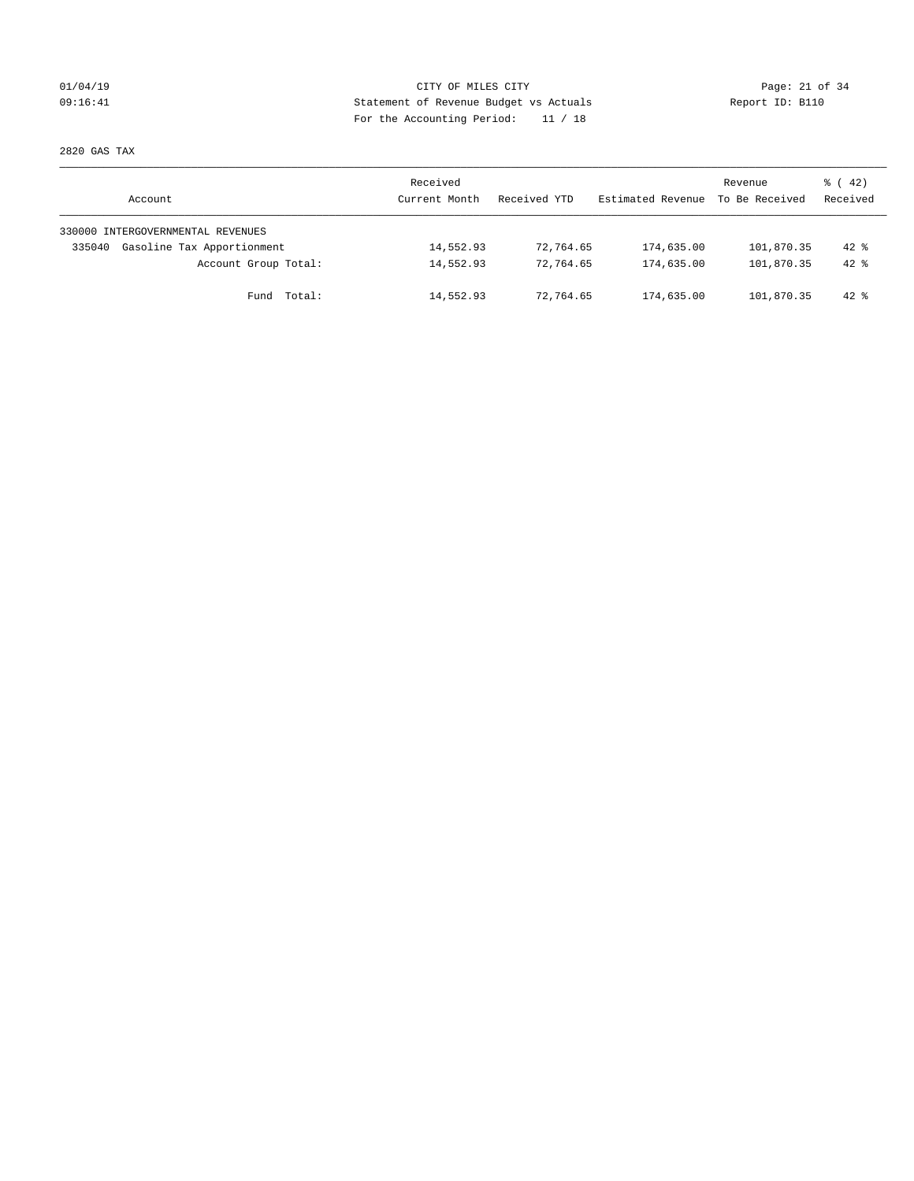## 01/04/19 Page: 21 of 34 09:16:41 Statement of Revenue Budget vs Actuals Report ID: B110 For the Accounting Period: 11 / 18

2820 GAS TAX

| Account                              | Received<br>Current Month | Received YTD | Estimated Revenue | Revenue<br>To Be Received | $\frac{1}{6}$ ( 42)<br>Received |
|--------------------------------------|---------------------------|--------------|-------------------|---------------------------|---------------------------------|
| 330000 INTERGOVERNMENTAL REVENUES    |                           |              |                   |                           |                                 |
| Gasoline Tax Apportionment<br>335040 | 14,552.93                 | 72,764.65    | 174,635.00        | 101,870.35                | $42*$                           |
| Account Group Total:                 | 14,552.93                 | 72,764.65    | 174,635.00        | 101,870.35                | $42*$                           |
| Total:<br>Fund                       | 14,552.93                 | 72,764.65    | 174,635.00        | 101,870.35                | $42$ %                          |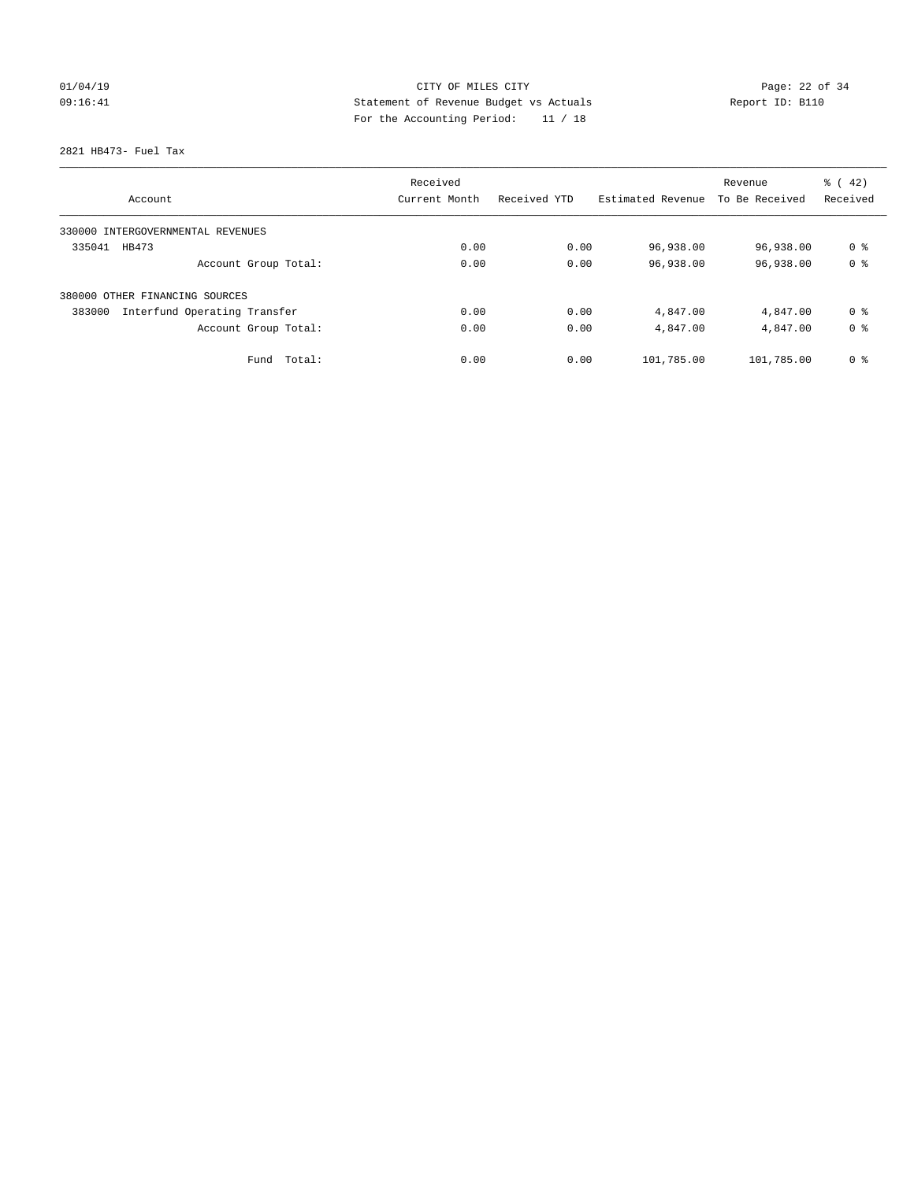# 01/04/19 **Page: 22 of 34** 09:16:41 Statement of Revenue Budget vs Actuals Report ID: B110 For the Accounting Period: 11 / 18

2821 HB473- Fuel Tax

| Account                                | Received<br>Current Month | Received YTD | Estimated Revenue | Revenue<br>To Be Received | $\frac{1}{6}$ ( 42)<br>Received |
|----------------------------------------|---------------------------|--------------|-------------------|---------------------------|---------------------------------|
|                                        |                           |              |                   |                           |                                 |
| 330000 INTERGOVERNMENTAL REVENUES      |                           |              |                   |                           |                                 |
| 335041<br>HB473                        | 0.00                      | 0.00         | 96,938.00         | 96,938.00                 | 0 <sup>8</sup>                  |
| Account Group Total:                   | 0.00                      | 0.00         | 96,938.00         | 96,938.00                 | 0 <sup>8</sup>                  |
| 380000 OTHER FINANCING SOURCES         |                           |              |                   |                           |                                 |
| Interfund Operating Transfer<br>383000 | 0.00                      | 0.00         | 4,847.00          | 4,847.00                  | 0 %                             |
| Account Group Total:                   | 0.00                      | 0.00         | 4,847.00          | 4,847.00                  | 0 <sup>8</sup>                  |
| Total:<br>Fund                         | 0.00                      | 0.00         | 101,785.00        | 101,785.00                | 0 <sup>8</sup>                  |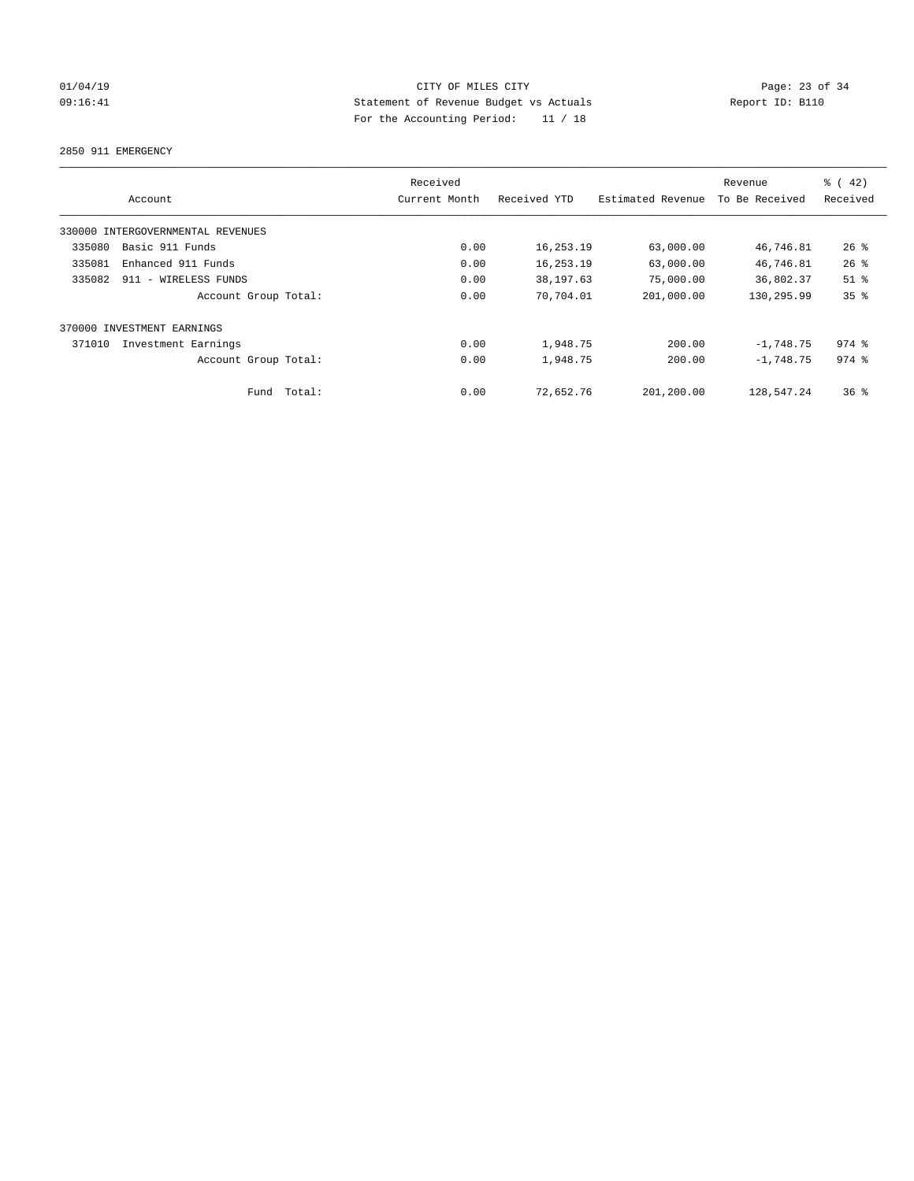## 01/04/19 Page: 23 of 34 09:16:41 Statement of Revenue Budget vs Actuals Report ID: B110 For the Accounting Period: 11 / 18

2850 911 EMERGENCY

|        |                                   |        | Received      |              |                   | Revenue        | $\frac{1}{6}$ ( 42) |
|--------|-----------------------------------|--------|---------------|--------------|-------------------|----------------|---------------------|
|        | Account                           |        | Current Month | Received YTD | Estimated Revenue | To Be Received | Received            |
|        | 330000 INTERGOVERNMENTAL REVENUES |        |               |              |                   |                |                     |
| 335080 | Basic 911 Funds                   |        | 0.00          | 16,253.19    | 63,000.00         | 46,746.81      | 26%                 |
| 335081 | Enhanced 911 Funds                |        | 0.00          | 16,253.19    | 63,000.00         | 46,746.81      | 26%                 |
| 335082 | 911 - WIRELESS FUNDS              |        | 0.00          | 38,197.63    | 75,000.00         | 36,802.37      | $51$ %              |
|        | Account Group Total:              |        | 0.00          | 70,704.01    | 201,000.00        | 130,295.99     | 35%                 |
| 370000 | INVESTMENT EARNINGS               |        |               |              |                   |                |                     |
| 371010 | Investment Earnings               |        | 0.00          | 1,948.75     | 200.00            | $-1,748.75$    | $974$ $%$           |
|        | Account Group Total:              |        | 0.00          | 1,948.75     | 200.00            | $-1.748.75$    | $974$ $%$           |
|        | Fund                              | Total: | 0.00          | 72,652.76    | 201,200.00        | 128,547.24     | $36*$               |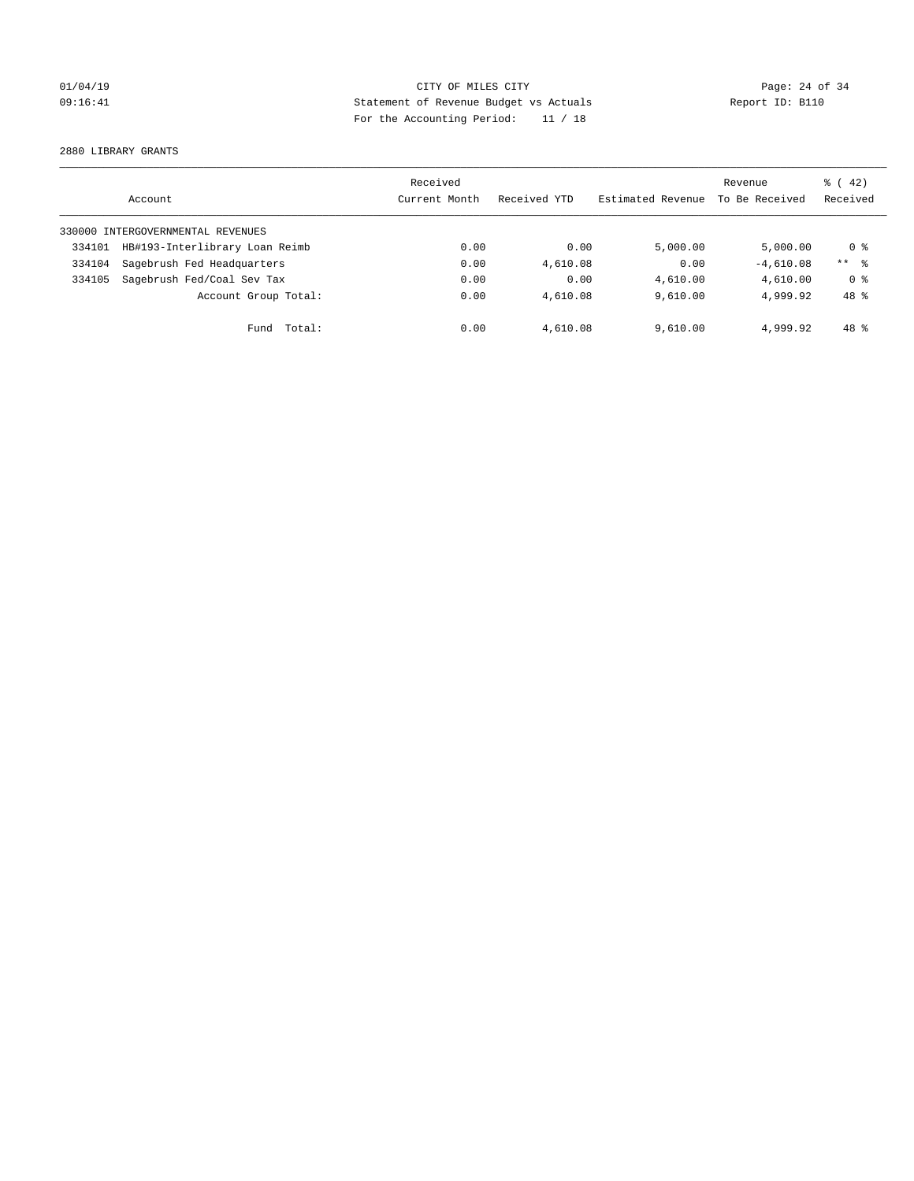## 01/04/19 Page: 24 of 34 09:16:41 Statement of Revenue Budget vs Actuals Report ID: B110 For the Accounting Period: 11 / 18

2880 LIBRARY GRANTS

|        | Account                           | Received<br>Current Month | Received YTD | Estimated Revenue | Revenue<br>To Be Received | $\frac{1}{6}$ ( 42)<br>Received |
|--------|-----------------------------------|---------------------------|--------------|-------------------|---------------------------|---------------------------------|
|        | 330000 INTERGOVERNMENTAL REVENUES |                           |              |                   |                           |                                 |
| 334101 | HB#193-Interlibrary Loan Reimb    | 0.00                      | 0.00         | 5.000.00          | 5,000.00                  | 0 %                             |
| 334104 | Sagebrush Fed Headquarters        | 0.00                      | 4,610.08     | 0.00              | $-4,610.08$               | $***$ $\approx$                 |
| 334105 | Sagebrush Fed/Coal Sev Tax        | 0.00                      | 0.00         | 4,610.00          | 4,610.00                  | 0 <sup>8</sup>                  |
|        | Account Group Total:              | 0.00                      | 4,610.08     | 9.610.00          | 4,999.92                  | 48 %                            |
|        | Total:<br>Fund                    | 0.00                      | 4,610.08     | 9,610.00          | 4,999.92                  | 48 %                            |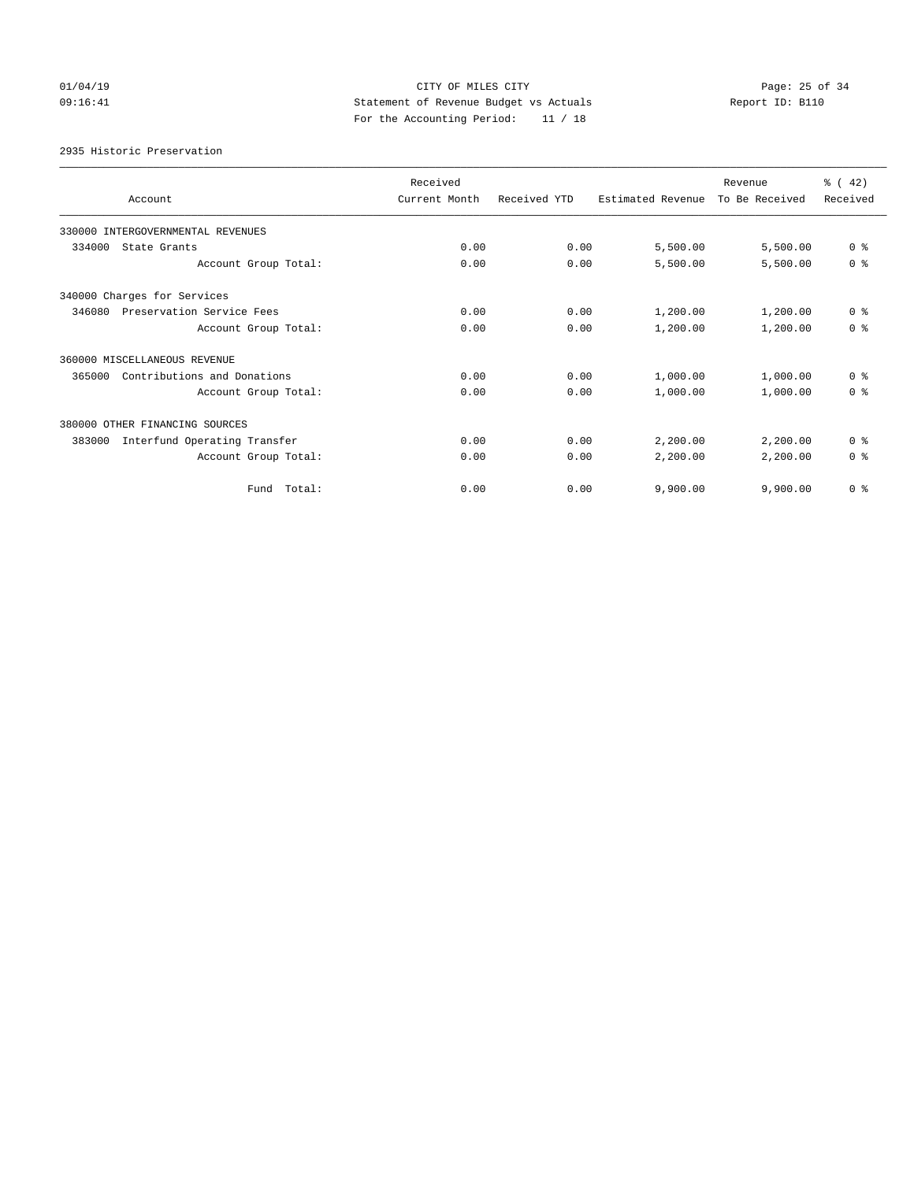# $CITY$  OF MILES  $CITY$  and the contract of  $CITY$  and  $CITY$  and  $P_1Q_2$ : 25 of 34 09:16:41 Statement of Revenue Budget vs Actuals Report ID: B110 For the Accounting Period: 11 / 18

2935 Historic Preservation

|                                        | Received      |              |                   | Revenue        | $\frac{1}{6}$ ( 42) |
|----------------------------------------|---------------|--------------|-------------------|----------------|---------------------|
| Account                                | Current Month | Received YTD | Estimated Revenue | To Be Received | Received            |
| 330000 INTERGOVERNMENTAL REVENUES      |               |              |                   |                |                     |
| 334000<br>State Grants                 | 0.00          | 0.00         | 5,500.00          | 5,500.00       | 0 <sup>8</sup>      |
| Account Group Total:                   | 0.00          | 0.00         | 5,500.00          | 5,500.00       | 0 <sup>8</sup>      |
| 340000 Charges for Services            |               |              |                   |                |                     |
| Preservation Service Fees<br>346080    | 0.00          | 0.00         | 1,200.00          | 1,200.00       | 0 <sup>8</sup>      |
| Account Group Total:                   | 0.00          | 0.00         | 1,200.00          | 1,200.00       | 0 <sup>8</sup>      |
| 360000 MISCELLANEOUS REVENUE           |               |              |                   |                |                     |
| Contributions and Donations<br>365000  | 0.00          | 0.00         | 1,000.00          | 1,000.00       | 0 <sup>8</sup>      |
| Account Group Total:                   | 0.00          | 0.00         | 1,000.00          | 1,000.00       | 0 <sup>8</sup>      |
| 380000 OTHER FINANCING SOURCES         |               |              |                   |                |                     |
| Interfund Operating Transfer<br>383000 | 0.00          | 0.00         | 2,200.00          | 2,200.00       | 0 <sup>8</sup>      |
| Account Group Total:                   | 0.00          | 0.00         | 2,200.00          | 2,200.00       | 0 <sup>8</sup>      |
| Total:<br>Fund                         | 0.00          | 0.00         | 9,900.00          | 9,900.00       | 0 <sup>8</sup>      |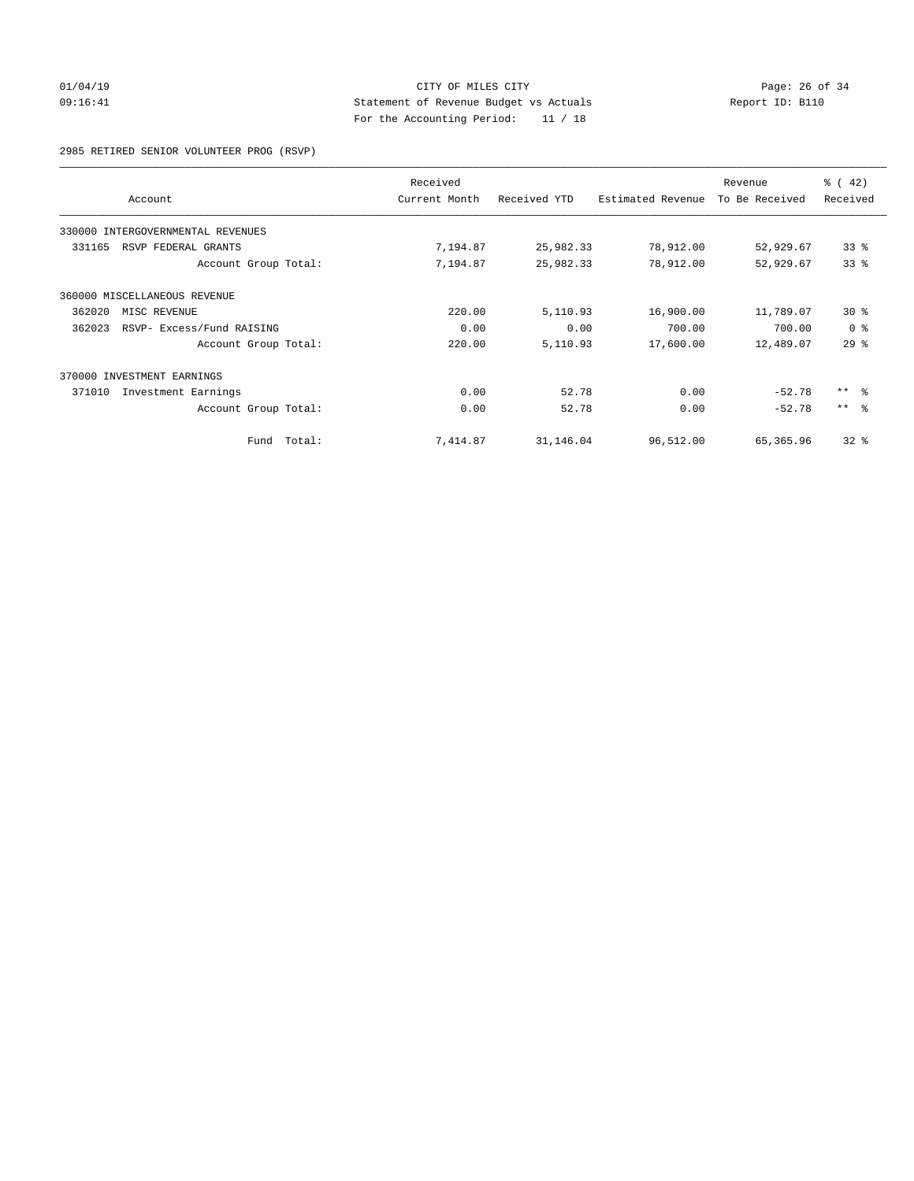# 01/04/19 **Page: 26 of 34** CITY OF MILES CITY **Page: 26 of 34** 09:16:41 Statement of Revenue Budget vs Actuals Report ID: B110 For the Accounting Period: 11 / 18

2985 RETIRED SENIOR VOLUNTEER PROG (RSVP)

|        | Account                           |        | Received<br>Current Month | Received YTD | Estimated Revenue | Revenue<br>To Be Received | $\frac{3}{6}$ ( 42)<br>Received |
|--------|-----------------------------------|--------|---------------------------|--------------|-------------------|---------------------------|---------------------------------|
|        | 330000 INTERGOVERNMENTAL REVENUES |        |                           |              |                   |                           |                                 |
| 331165 | RSVP FEDERAL GRANTS               |        | 7,194.87                  | 25,982.33    | 78,912.00         | 52,929.67                 | 33%                             |
|        | Account Group Total:              |        | 7,194.87                  | 25,982.33    | 78,912.00         | 52,929.67                 | 33%                             |
|        | 360000 MISCELLANEOUS REVENUE      |        |                           |              |                   |                           |                                 |
| 362020 | MISC REVENUE                      |        | 220.00                    | 5,110.93     | 16,900.00         | 11,789.07                 | $30*$                           |
| 362023 | RSVP- Excess/Fund RAISING         |        | 0.00                      | 0.00         | 700.00            | 700.00                    | 0 <sup>8</sup>                  |
|        | Account Group Total:              |        | 220.00                    | 5,110.93     | 17,600.00         | 12,489.07                 | 29 <sup>°</sup>                 |
|        | 370000 INVESTMENT EARNINGS        |        |                           |              |                   |                           |                                 |
| 371010 | Investment Earnings               |        | 0.00                      | 52.78        | 0.00              | $-52.78$                  | ** 8                            |
|        | Account Group Total:              |        | 0.00                      | 52.78        | 0.00              | $-52.78$                  | $***$ $ -$                      |
|        | Fund                              | Total: | 7,414.87                  | 31,146.04    | 96,512.00         | 65,365.96                 | $32$ $%$                        |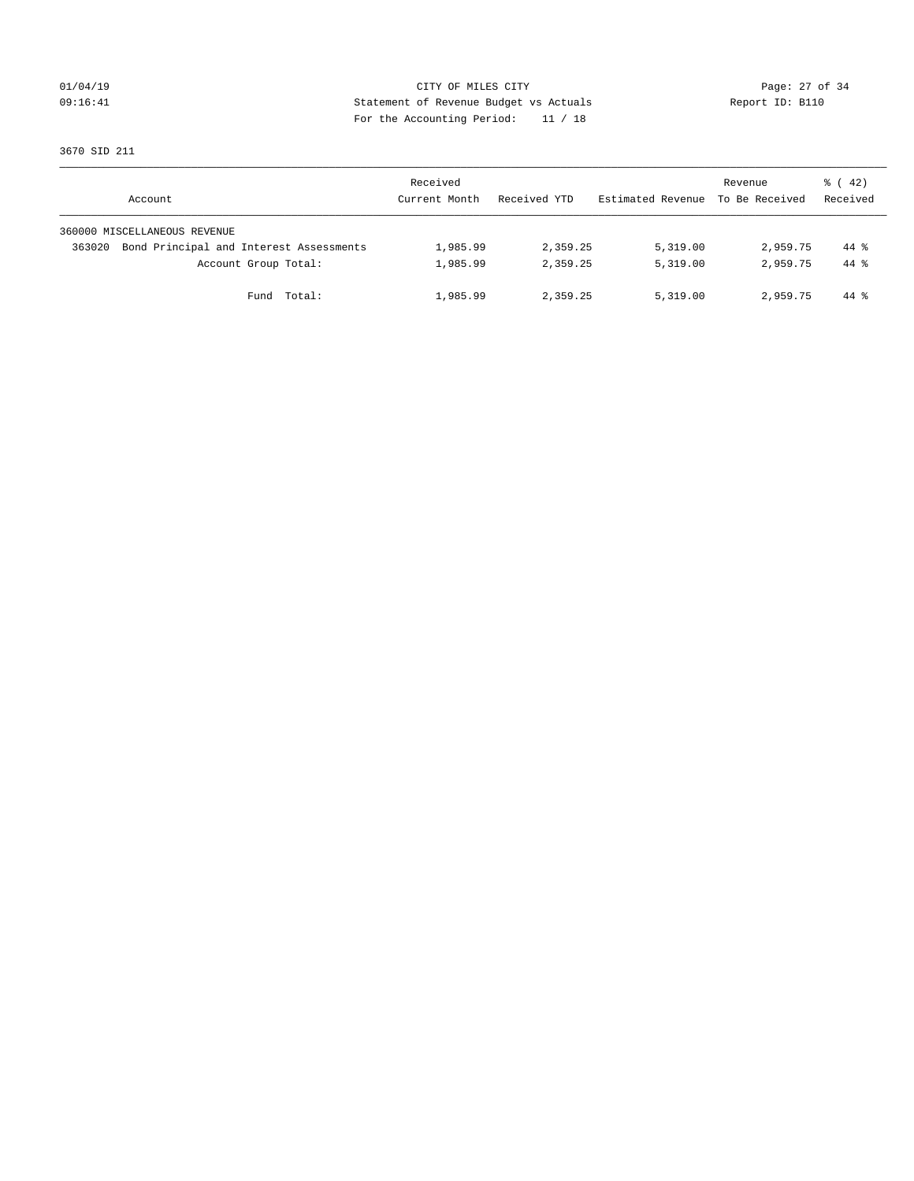## 01/04/19 Page: 27 of 34 09:16:41 Statement of Revenue Budget vs Actuals Report ID: B110 For the Accounting Period: 11 / 18

3670 SID 211

|        | Account                                 | Received<br>Current Month | Received YTD | Estimated Revenue | Revenue<br>To Be Received | $\frac{1}{6}$ ( 42)<br>Received |
|--------|-----------------------------------------|---------------------------|--------------|-------------------|---------------------------|---------------------------------|
|        | 360000 MISCELLANEOUS REVENUE            |                           |              |                   |                           |                                 |
| 363020 | Bond Principal and Interest Assessments | 1,985.99                  | 2,359.25     | 5,319.00          | 2,959.75                  | 44 %                            |
|        | Account Group Total:                    | 1,985.99                  | 2,359.25     | 5,319.00          | 2,959.75                  | 44 %                            |
|        | Fund Total:                             | 1,985.99                  | 2,359.25     | 5,319.00          | 2,959.75                  | 44 %                            |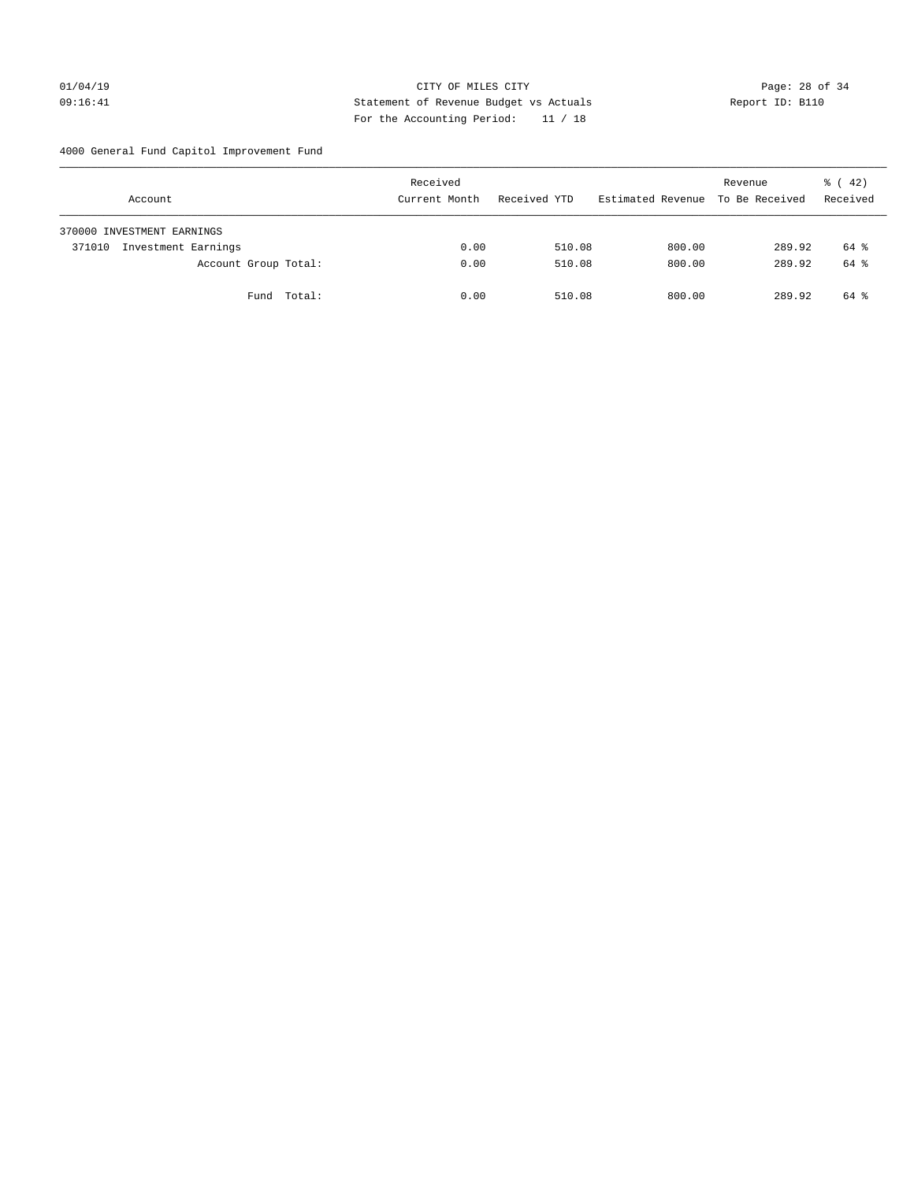# 01/04/19 CITY OF MILES CITY Page: 28 of 34 09:16:41 Statement of Revenue Budget vs Actuals Report ID: B110 For the Accounting Period: 11 / 18

4000 General Fund Capitol Improvement Fund

| Account                       |                      |             |  | Received<br>Current Month |      | Received YTD |        | Estimated Revenue |        | Revenue<br>To Be Received |        | $\frac{1}{6}$ ( 42)<br>Received |  |
|-------------------------------|----------------------|-------------|--|---------------------------|------|--------------|--------|-------------------|--------|---------------------------|--------|---------------------------------|--|
| 370000 INVESTMENT EARNINGS    |                      |             |  |                           |      |              |        |                   |        |                           |        |                                 |  |
| Investment Earnings<br>371010 |                      |             |  |                           | 0.00 |              | 510.08 |                   | 800.00 |                           | 289.92 | 64 %                            |  |
|                               | Account Group Total: |             |  |                           | 0.00 |              | 510.08 |                   | 800.00 |                           | 289.92 | 64 %                            |  |
|                               |                      | Fund Total: |  |                           | 0.00 |              | 510.08 |                   | 800.00 |                           | 289.92 | 64 %                            |  |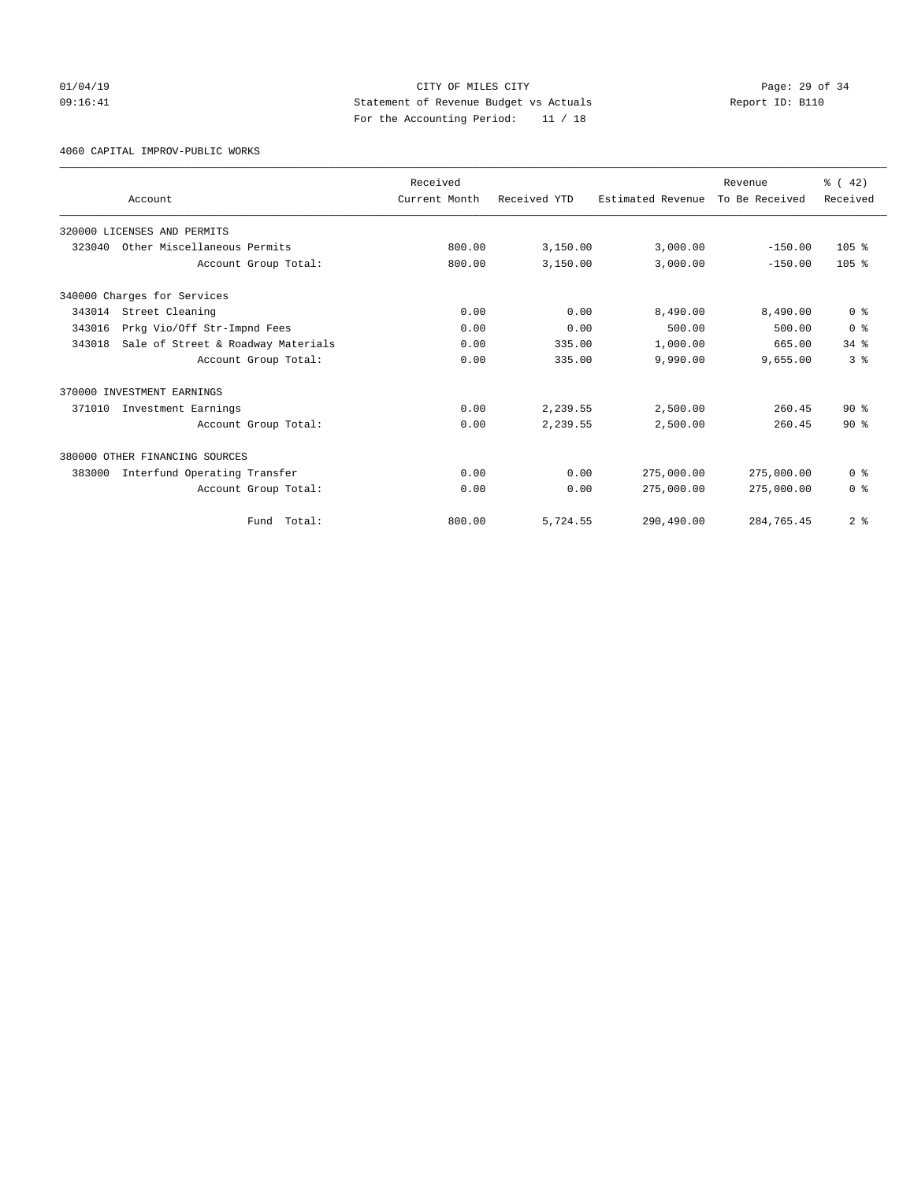## 01/04/19 Page: 29 of 34 09:16:41 Statement of Revenue Budget vs Actuals Report ID: B110 For the Accounting Period: 11 / 18

4060 CAPITAL IMPROV-PUBLIC WORKS

|        |                                    | Received      |              |                   | Revenue        | % (42)           |
|--------|------------------------------------|---------------|--------------|-------------------|----------------|------------------|
|        | Account                            | Current Month | Received YTD | Estimated Revenue | To Be Received | Received         |
|        | 320000 LICENSES AND PERMITS        |               |              |                   |                |                  |
| 323040 | Other Miscellaneous Permits        | 800.00        | 3,150.00     | 3,000.00          | $-150.00$      | 105 <sub>8</sub> |
|        | Account Group Total:               | 800.00        | 3,150.00     | 3,000.00          | $-150.00$      | 105 <sub>8</sub> |
|        | 340000 Charges for Services        |               |              |                   |                |                  |
| 343014 | Street Cleaning                    | 0.00          | 0.00         | 8,490.00          | 8,490.00       | 0 <sup>8</sup>   |
| 343016 | Prkg Vio/Off Str-Impnd Fees        | 0.00          | 0.00         | 500.00            | 500.00         | 0 <sup>8</sup>   |
| 343018 | Sale of Street & Roadway Materials | 0.00          | 335.00       | 1,000.00          | 665.00         | 34.8             |
|        | Account Group Total:               | 0.00          | 335.00       | 9,990.00          | 9,655.00       | 3 <sup>8</sup>   |
|        | 370000 INVESTMENT EARNINGS         |               |              |                   |                |                  |
| 371010 | Investment Earnings                | 0.00          | 2,239.55     | 2,500.00          | 260.45         | $90*$            |
|        | Account Group Total:               | 0.00          | 2,239.55     | 2,500.00          | 260.45         | $90*$            |
|        | 380000 OTHER FINANCING SOURCES     |               |              |                   |                |                  |
| 383000 | Interfund Operating Transfer       | 0.00          | 0.00         | 275,000.00        | 275,000.00     | 0 <sup>8</sup>   |
|        | Account Group Total:               | 0.00          | 0.00         | 275,000.00        | 275,000.00     | 0 <sup>8</sup>   |
|        | Total:<br>Fund                     | 800.00        | 5,724.55     | 290,490.00        | 284,765.45     | 2 <sup>8</sup>   |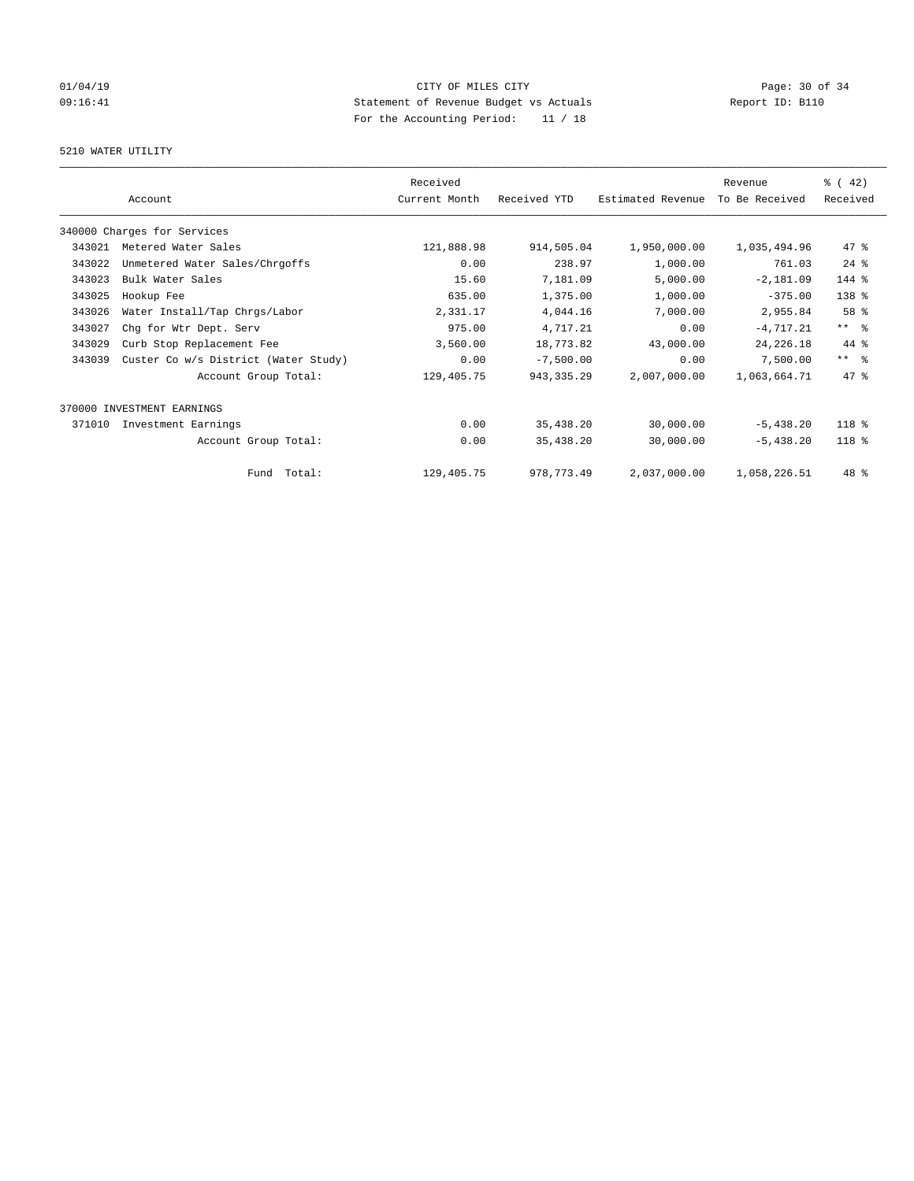# $CITY$  OF MILES  $CITY$  and the contract of  $CITY$  and  $P_0 = 30$  of  $34$ 09:16:41 Statement of Revenue Budget vs Actuals Report ID: B110 For the Accounting Period: 11 / 18

## 5210 WATER UTILITY

|        | Account                              | Received<br>Current Month | Received YTD | Estimated Revenue | Revenue<br>To Be Received | $\frac{3}{6}$ ( 42)<br>Received |
|--------|--------------------------------------|---------------------------|--------------|-------------------|---------------------------|---------------------------------|
|        | 340000 Charges for Services          |                           |              |                   |                           |                                 |
| 343021 | Metered Water Sales                  | 121,888.98                | 914,505.04   | 1,950,000.00      | 1,035,494.96              | 47 %                            |
| 343022 | Unmetered Water Sales/Chrgoffs       | 0.00                      | 238.97       | 1,000.00          | 761.03                    | $24$ %                          |
| 343023 | Bulk Water Sales                     | 15.60                     | 7,181.09     | 5,000.00          | $-2,181.09$               | 144 %                           |
| 343025 | Hookup Fee                           | 635.00                    | 1,375.00     | 1,000.00          | $-375.00$                 | 138 <sup>8</sup>                |
| 343026 | Water Install/Tap Chrgs/Labor        | 2,331.17                  | 4,044.16     | 7,000.00          | 2,955.84                  | 58 %                            |
| 343027 | Chg for Wtr Dept. Serv               | 975.00                    | 4,717.21     | 0.00              | $-4, 717.21$              | $***$ $=$                       |
| 343029 | Curb Stop Replacement Fee            | 3,560.00                  | 18,773.82    | 43,000.00         | 24, 226. 18               | $44*$                           |
| 343039 | Custer Co w/s District (Water Study) | 0.00                      | $-7,500.00$  | 0.00              | 7,500.00                  | $***$ $%$                       |
|        | Account Group Total:                 | 129,405.75                | 943, 335.29  | 2,007,000.00      | 1,063,664.71              | 47.8                            |
|        | 370000 INVESTMENT EARNINGS           |                           |              |                   |                           |                                 |
| 371010 | Investment Earnings                  | 0.00                      | 35,438.20    | 30,000.00         | $-5,438.20$               | 118 %                           |
|        | Account Group Total:                 | 0.00                      | 35,438.20    | 30,000.00         | $-5,438.20$               | $118*$                          |
|        | Fund Total:                          | 129,405.75                | 978,773.49   | 2,037,000.00      | 1,058,226.51              | 48 %                            |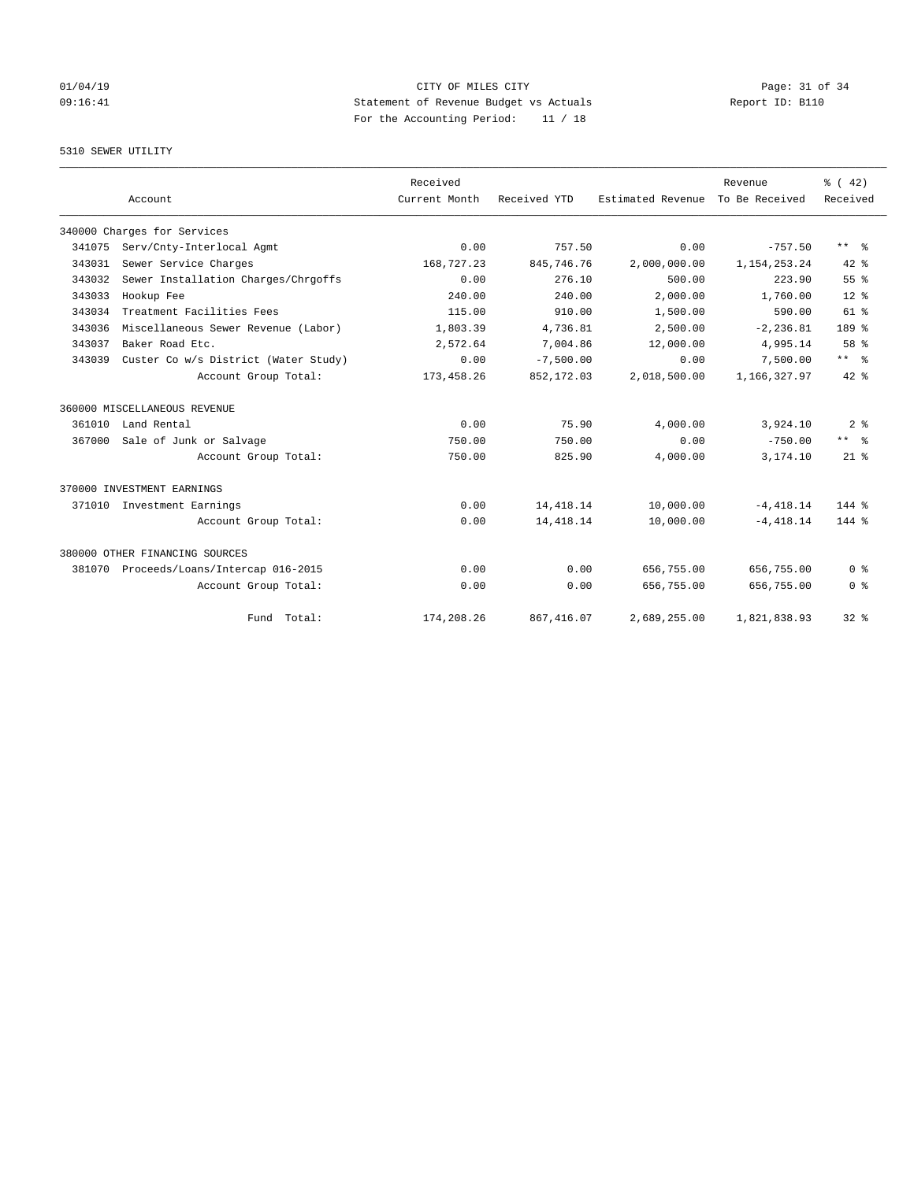# $CITY$  OF MILES  $CITY$  and the contract of  $CITY$  and  $P_0 = 31$  of  $34$ 09:16:41 Statement of Revenue Budget vs Actuals Report ID: B110 For the Accounting Period: 11 / 18

## 5310 SEWER UTILITY

|        |                                      | Received      |              |                   | Revenue         | $\frac{3}{6}$ ( 42) |
|--------|--------------------------------------|---------------|--------------|-------------------|-----------------|---------------------|
|        | Account                              | Current Month | Received YTD | Estimated Revenue | To Be Received  | Received            |
|        | 340000 Charges for Services          |               |              |                   |                 |                     |
| 341075 | Serv/Cnty-Interlocal Agmt            | 0.00          | 757.50       | 0.00              | $-757.50$       | $***$ $ -$          |
| 343031 | Sewer Service Charges                | 168,727.23    | 845,746.76   | 2,000,000.00      | 1, 154, 253. 24 | $42$ %              |
| 343032 | Sewer Installation Charges/Chrgoffs  | 0.00          | 276.10       | 500.00            | 223.90          | 55 <sup>8</sup>     |
| 343033 | Hookup Fee                           | 240.00        | 240.00       | 2,000.00          | 1,760.00        | 12 <sup>8</sup>     |
| 343034 | Treatment Facilities Fees            | 115.00        | 910.00       | 1,500.00          | 590.00          | 61 %                |
| 343036 | Miscellaneous Sewer Revenue (Labor)  | 1,803.39      | 4,736.81     | 2,500.00          | $-2, 236.81$    | 189 %               |
| 343037 | Baker Road Etc.                      | 2,572.64      | 7,004.86     | 12,000.00         | 4,995.14        | 58 %                |
| 343039 | Custer Co w/s District (Water Study) | 0.00          | $-7,500.00$  | 0.00              | 7,500.00        | $***$ $-$           |
|        | Account Group Total:                 | 173, 458.26   | 852,172.03   | 2,018,500.00      | 1,166,327.97    | $42*$               |
|        | 360000 MISCELLANEOUS REVENUE         |               |              |                   |                 |                     |
| 361010 | Land Rental                          | 0.00          | 75.90        | 4,000.00          | 3,924.10        | 2 <sup>°</sup>      |
| 367000 | Sale of Junk or Salvage              | 750.00        | 750.00       | 0.00              | $-750.00$       | $***$ $-$           |
|        | Account Group Total:                 | 750.00        | 825.90       | 4,000.00          | 3,174.10        | $21$ $%$            |
|        | 370000 INVESTMENT EARNINGS           |               |              |                   |                 |                     |
| 371010 | Investment Earnings                  | 0.00          | 14, 418.14   | 10,000.00         | $-4,418.14$     | $144$ %             |
|        | Account Group Total:                 | 0.00          | 14, 418.14   | 10,000.00         | $-4.418.14$     | $144$ %             |
|        | 380000 OTHER FINANCING SOURCES       |               |              |                   |                 |                     |
| 381070 | Proceeds/Loans/Intercap 016-2015     | 0.00          | 0.00         | 656,755.00        | 656,755.00      | 0 <sup>8</sup>      |
|        | Account Group Total:                 | 0.00          | 0.00         | 656,755.00        | 656,755.00      | 0 <sup>8</sup>      |
|        | Fund Total:                          | 174,208.26    | 867, 416.07  | 2,689,255.00      | 1,821,838.93    | $32*$               |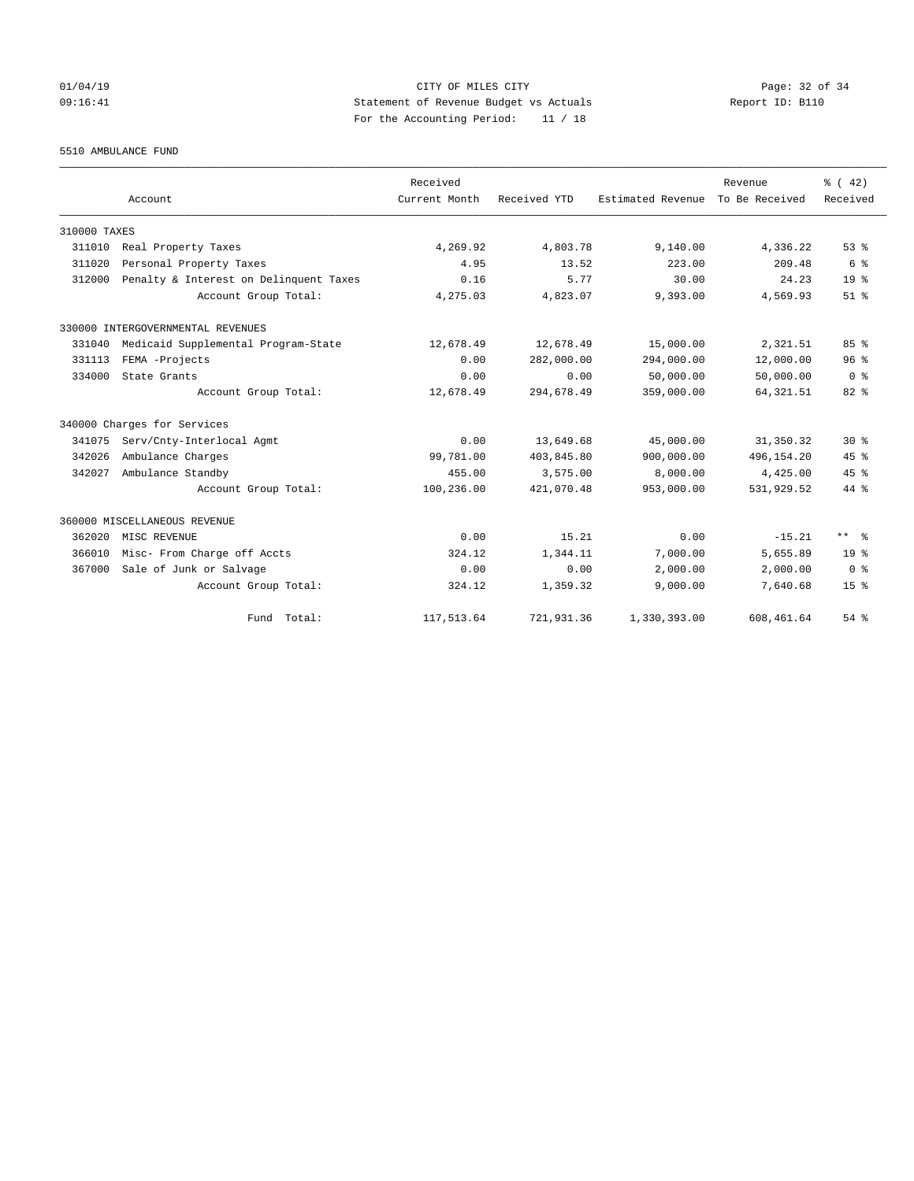## 01/04/19 Page: 32 of 34 09:16:41 Statement of Revenue Budget vs Actuals Report ID: B110 For the Accounting Period: 11 / 18

5510 AMBULANCE FUND

|              |                                        | Received      |              |                   | Revenue        | $\frac{3}{6}$ ( 42) |
|--------------|----------------------------------------|---------------|--------------|-------------------|----------------|---------------------|
|              | Account                                | Current Month | Received YTD | Estimated Revenue | To Be Received | Received            |
| 310000 TAXES |                                        |               |              |                   |                |                     |
| 311010       | Real Property Taxes                    | 4,269.92      | 4,803.78     | 9,140.00          | 4,336.22       | 53%                 |
| 311020       | Personal Property Taxes                | 4.95          | 13.52        | 223.00            | 209.48         | 6 %                 |
| 312000       | Penalty & Interest on Delinquent Taxes | 0.16          | 5.77         | 30.00             | 24.23          | 19 <sup>°</sup>     |
|              | Account Group Total:                   | 4,275.03      | 4,823.07     | 9,393.00          | 4,569.93       | $51$ $%$            |
|              | 330000 INTERGOVERNMENTAL REVENUES      |               |              |                   |                |                     |
| 331040       | Medicaid Supplemental Program-State    | 12,678.49     | 12,678.49    | 15,000.00         | 2,321.51       | 85%                 |
| 331113       | FEMA -Projects                         | 0.00          | 282,000.00   | 294,000.00        | 12,000.00      | 96%                 |
| 334000       | State Grants                           | 0.00          | 0.00         | 50,000.00         | 50,000.00      | 0 <sup>8</sup>      |
|              | Account Group Total:                   | 12,678.49     | 294,678.49   | 359,000.00        | 64, 321.51     | $82*$               |
|              | 340000 Charges for Services            |               |              |                   |                |                     |
| 341075       | Serv/Cnty-Interlocal Agmt              | 0.00          | 13,649.68    | 45,000.00         | 31, 350.32     | $30*$               |
| 342026       | Ambulance Charges                      | 99,781.00     | 403,845.80   | 900,000.00        | 496,154.20     | 45%                 |
| 342027       | Ambulance Standby                      | 455.00        | 3,575.00     | 8,000.00          | 4,425.00       | 45%                 |
|              | Account Group Total:                   | 100,236.00    | 421,070.48   | 953,000.00        | 531,929.52     | 44 %                |
|              | 360000 MISCELLANEOUS REVENUE           |               |              |                   |                |                     |
| 362020       | MISC REVENUE                           | 0.00          | 15.21        | 0.00              | $-15.21$       | $***$ $ -$          |
| 366010       | Misc- From Charge off Accts            | 324.12        | 1,344.11     | 7,000.00          | 5,655.89       | 19 <sup>°</sup>     |
| 367000       | Sale of Junk or Salvage                | 0.00          | 0.00         | 2,000.00          | 2,000.00       | 0 <sup>8</sup>      |
|              | Account Group Total:                   | 324.12        | 1,359.32     | 9,000.00          | 7,640.68       | 15 <sup>8</sup>     |
|              | Fund Total:                            | 117,513.64    | 721,931.36   | 1,330,393.00      | 608, 461.64    | 54%                 |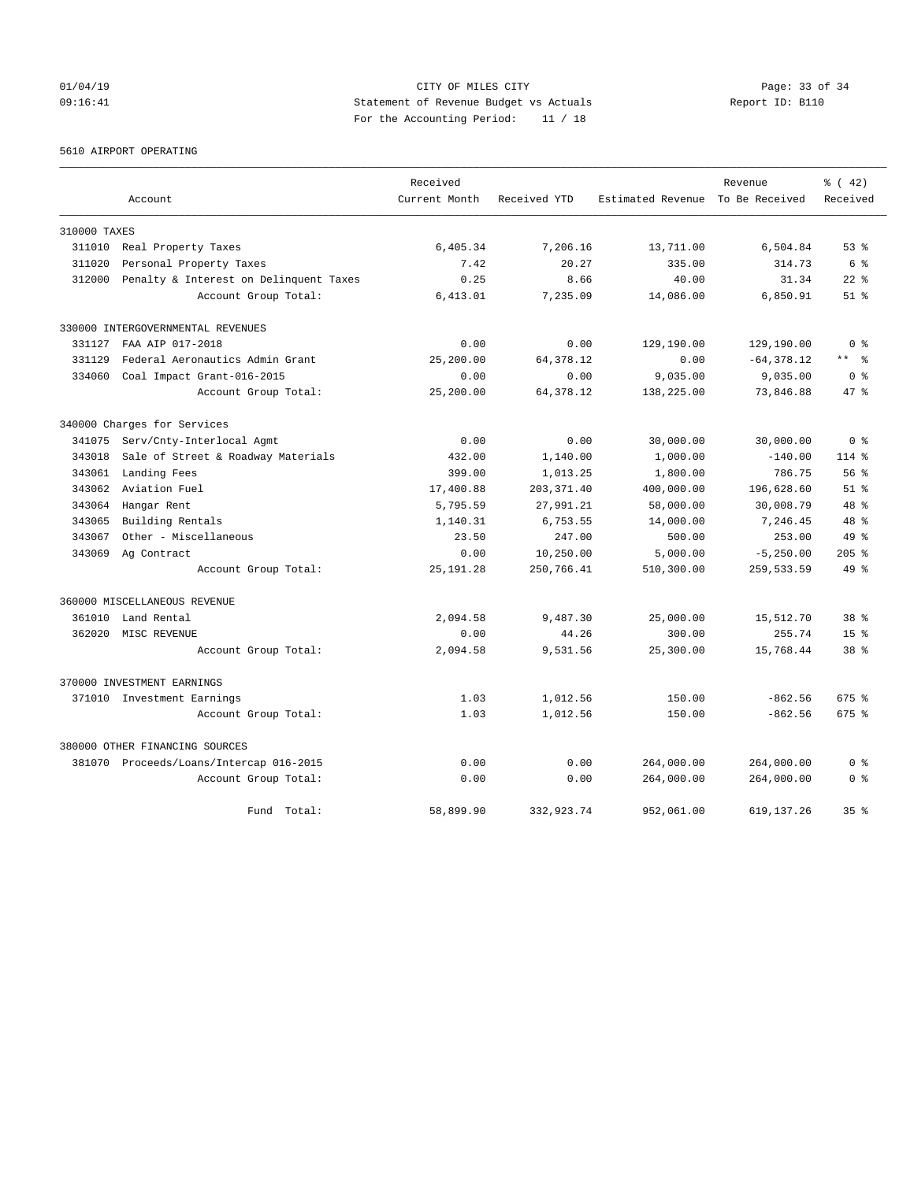## 01/04/19 Page: 33 of 34 09:16:41 Statement of Revenue Budget vs Actuals Report ID: B110 For the Accounting Period: 11 / 18

5610 AIRPORT OPERATING

|              |                                         | Received      |              |                                  | Revenue       | % (42)             |
|--------------|-----------------------------------------|---------------|--------------|----------------------------------|---------------|--------------------|
|              | Account                                 | Current Month | Received YTD | Estimated Revenue To Be Received |               | Received           |
| 310000 TAXES |                                         |               |              |                                  |               |                    |
| 311010       | Real Property Taxes                     | 6,405.34      | 7,206.16     | 13,711.00                        | 6,504.84      | 53%                |
| 311020       | Personal Property Taxes                 | 7.42          | 20.27        | 335.00                           | 314.73        | 6 %                |
| 312000       | Penalty & Interest on Delinquent Taxes  | 0.25          | 8.66         | 40.00                            | 31.34         | $22$ $%$           |
|              | Account Group Total:                    | 6,413.01      | 7,235.09     | 14,086.00                        | 6,850.91      | $51$ $\frac{6}{3}$ |
|              | 330000 INTERGOVERNMENTAL REVENUES       |               |              |                                  |               |                    |
| 331127       | FAA AIP 017-2018                        | 0.00          | 0.00         | 129,190.00                       | 129,190.00    | 0 %                |
| 331129       | Federal Aeronautics Admin Grant         | 25,200.00     | 64, 378.12   | 0.00                             | $-64, 378.12$ | ** 왕               |
| 334060       | Coal Impact Grant-016-2015              | 0.00          | 0.00         | 9,035.00                         | 9,035.00      | 0 <sup>8</sup>     |
|              | Account Group Total:                    | 25,200.00     | 64, 378.12   | 138,225.00                       | 73,846.88     | 47.8               |
|              | 340000 Charges for Services             |               |              |                                  |               |                    |
| 341075       | Serv/Cnty-Interlocal Agmt               | 0.00          | 0.00         | 30,000.00                        | 30,000.00     | 0 <sup>8</sup>     |
| 343018       | Sale of Street & Roadway Materials      | 432.00        | 1,140.00     | 1,000.00                         | $-140.00$     | $114$ %            |
| 343061       | Landing Fees                            | 399.00        | 1,013.25     | 1,800.00                         | 786.75        | 56%                |
| 343062       | Aviation Fuel                           | 17,400.88     | 203, 371.40  | 400,000.00                       | 196,628.60    | $51*$              |
| 343064       | Hangar Rent                             | 5,795.59      | 27,991.21    | 58,000.00                        | 30,008.79     | 48 %               |
| 343065       | Building Rentals                        | 1,140.31      | 6,753.55     | 14,000.00                        | 7,246.45      | $48*$              |
| 343067       | Other - Miscellaneous                   | 23.50         | 247.00       | 500.00                           | 253.00        | $49*$              |
| 343069       | Ag Contract                             | 0.00          | 10,250.00    | 5,000.00                         | $-5, 250.00$  | $205$ $%$          |
|              | Account Group Total:                    | 25, 191. 28   | 250,766.41   | 510,300.00                       | 259,533.59    | $49*$              |
|              | 360000 MISCELLANEOUS REVENUE            |               |              |                                  |               |                    |
| 361010       | Land Rental                             | 2,094.58      | 9,487.30     | 25,000.00                        | 15,512.70     | 38 <sup>8</sup>    |
| 362020       | MISC REVENUE                            | 0.00          | 44.26        | 300.00                           | 255.74        | 15 <sub>8</sub>    |
|              | Account Group Total:                    | 2,094.58      | 9,531.56     | 25,300.00                        | 15,768.44     | 38 <sup>8</sup>    |
|              | 370000 INVESTMENT EARNINGS              |               |              |                                  |               |                    |
|              | 371010 Investment Earnings              | 1.03          | 1,012.56     | 150.00                           | $-862.56$     | 675 %              |
|              | Account Group Total:                    | 1.03          | 1,012.56     | 150.00                           | $-862.56$     | 675 %              |
|              | 380000 OTHER FINANCING SOURCES          |               |              |                                  |               |                    |
|              | 381070 Proceeds/Loans/Intercap 016-2015 | 0.00          | 0.00         | 264,000.00                       | 264,000.00    | 0 <sup>8</sup>     |
|              | Account Group Total:                    | 0.00          | 0.00         | 264,000.00                       | 264,000.00    | 0 <sup>8</sup>     |
|              | Fund Total:                             | 58,899.90     | 332,923.74   | 952,061.00                       | 619, 137.26   | 35 <sup>8</sup>    |